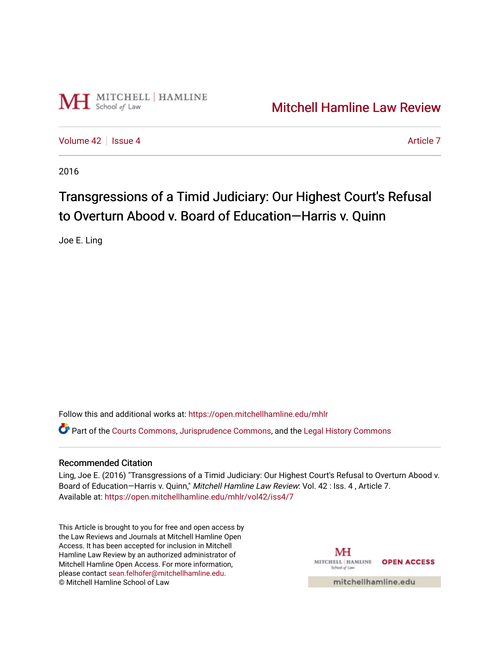

# [Mitchell Hamline Law Review](https://open.mitchellhamline.edu/mhlr)

[Volume 42](https://open.mitchellhamline.edu/mhlr/vol42) | [Issue 4](https://open.mitchellhamline.edu/mhlr/vol42/iss4) [Article 7](https://open.mitchellhamline.edu/mhlr/vol42/iss4/7) Article 7 Article 7 Article 7 Article 7 Article 7 Article 7

2016

# Transgressions of a Timid Judiciary: Our Highest Court's Refusal to Overturn Abood v. Board of Education—Harris v. Quinn

Joe E. Ling

Follow this and additional works at: [https://open.mitchellhamline.edu/mhlr](https://open.mitchellhamline.edu/mhlr?utm_source=open.mitchellhamline.edu%2Fmhlr%2Fvol42%2Fiss4%2F7&utm_medium=PDF&utm_campaign=PDFCoverPages) 

Part of the [Courts Commons,](http://network.bepress.com/hgg/discipline/839?utm_source=open.mitchellhamline.edu%2Fmhlr%2Fvol42%2Fiss4%2F7&utm_medium=PDF&utm_campaign=PDFCoverPages) [Jurisprudence Commons](http://network.bepress.com/hgg/discipline/610?utm_source=open.mitchellhamline.edu%2Fmhlr%2Fvol42%2Fiss4%2F7&utm_medium=PDF&utm_campaign=PDFCoverPages), and the [Legal History Commons](http://network.bepress.com/hgg/discipline/904?utm_source=open.mitchellhamline.edu%2Fmhlr%2Fvol42%2Fiss4%2F7&utm_medium=PDF&utm_campaign=PDFCoverPages)

## Recommended Citation

Ling, Joe E. (2016) "Transgressions of a Timid Judiciary: Our Highest Court's Refusal to Overturn Abood v. Board of Education-Harris v. Quinn," Mitchell Hamline Law Review: Vol. 42 : Iss. 4, Article 7. Available at: [https://open.mitchellhamline.edu/mhlr/vol42/iss4/7](https://open.mitchellhamline.edu/mhlr/vol42/iss4/7?utm_source=open.mitchellhamline.edu%2Fmhlr%2Fvol42%2Fiss4%2F7&utm_medium=PDF&utm_campaign=PDFCoverPages) 

This Article is brought to you for free and open access by the Law Reviews and Journals at Mitchell Hamline Open Access. It has been accepted for inclusion in Mitchell Hamline Law Review by an authorized administrator of Mitchell Hamline Open Access. For more information, please contact [sean.felhofer@mitchellhamline.edu.](mailto:sean.felhofer@mitchellhamline.edu) © Mitchell Hamline School of Law

MH MITCHELL HAMLINE OPEN ACCESS School of Law

mitchellhamline.edu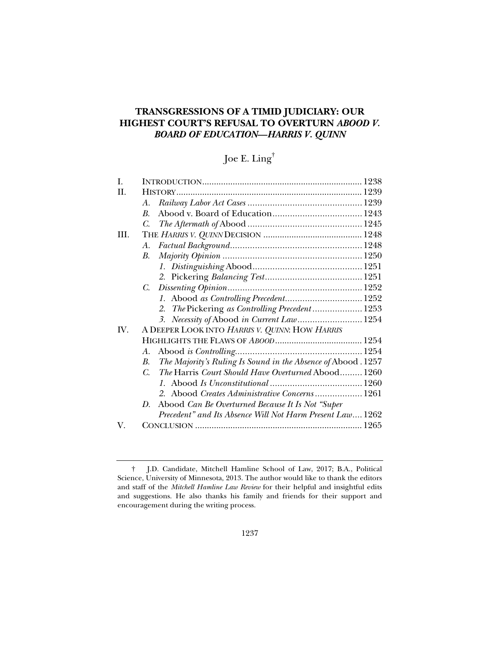# **TRANSGRESSIONS OF A TIMID JUDICIARY: OUR HIGHEST COURT'S REFUSAL TO OVERTURN** *ABOOD V. BOARD OF EDUCATION***—***HARRIS V. QUINN*

# Joe E. Ling†

| $\mathbf{I}$ . |                                                                     |  |
|----------------|---------------------------------------------------------------------|--|
| H.             |                                                                     |  |
|                | A.                                                                  |  |
|                | $\mathbf{B}$ .                                                      |  |
|                | $\mathcal{C}$ .                                                     |  |
| III.           |                                                                     |  |
|                | A.                                                                  |  |
|                | В.                                                                  |  |
|                |                                                                     |  |
|                |                                                                     |  |
|                | $C_{\cdot}$                                                         |  |
|                | 1. Abood as Controlling Precedent 1252                              |  |
|                | 2. The Pickering as Controlling Precedent 1253                      |  |
|                | 3. Necessity of Abood in Current Law 1254                           |  |
| IV.            | A DEEPER LOOK INTO HARRIS V. QUINN: HOW HARRIS                      |  |
|                |                                                                     |  |
|                | A.                                                                  |  |
|                | The Majority's Ruling Is Sound in the Absence of Abood . 1257<br>B. |  |
|                | The Harris Court Should Have Overturned Abood 1260<br>C.            |  |
|                |                                                                     |  |
|                | 2. Abood Creates Administrative Concerns 1261                       |  |
|                | Abood Can Be Overturned Because It Is Not "Super<br>D.              |  |
|                | Precedent" and Its Absence Will Not Harm Present Law 1262           |  |
| V.             |                                                                     |  |

 <sup>†</sup> J.D. Candidate, Mitchell Hamline School of Law, 2017; B.A., Political Science, University of Minnesota, 2013. The author would like to thank the editors and staff of the *Mitchell Hamline Law Review* for their helpful and insightful edits and suggestions. He also thanks his family and friends for their support and encouragement during the writing process.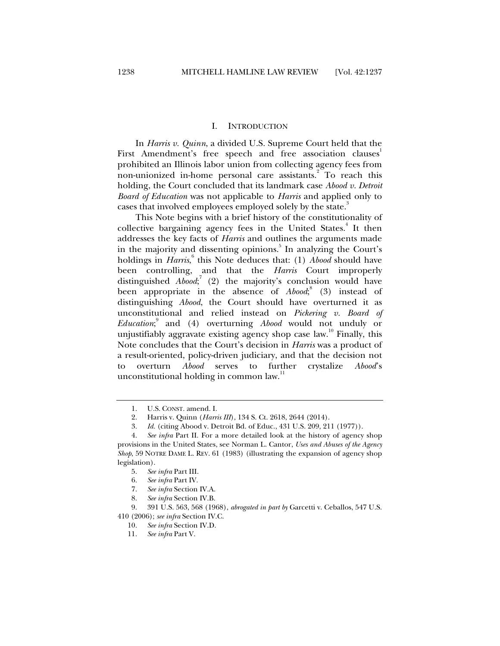#### I. INTRODUCTION

In *Harris v. Quinn*, a divided U.S. Supreme Court held that the First Amendment's free speech and free association clauses prohibited an Illinois labor union from collecting agency fees from non-unionized in-home personal care assistants.<sup>2</sup> To reach this holding, the Court concluded that its landmark case *Abood v. Detroit Board of Education* was not applicable to *Harris* and applied only to cases that involved employees employed solely by the state.<sup>3</sup>

This Note begins with a brief history of the constitutionality of collective bargaining agency fees in the United States.<sup>4</sup> It then addresses the key facts of *Harris* and outlines the arguments made in the majority and dissenting opinions.<sup>5</sup> In analyzing the Court's holdings in *Harris*,<sup>6</sup> this Note deduces that: (1) *Abood* should have been controlling, and that the *Harris* Court improperly distinguished *Abood*; 7 (2) the majority's conclusion would have been appropriate in the absence of *Abood*; (3) instead of distinguishing *Abood*, the Court should have overturned it as unconstitutional and relied instead on *Pickering v. Board of Education*; 9 and (4) overturning *Abood* would not unduly or unjustifiably aggravate existing agency shop case law.<sup>10</sup> Finally, this Note concludes that the Court's decision in *Harris* was a product of a result-oriented, policy-driven judiciary, and that the decision not to overturn *Abood* serves to further crystalize *Abood*'s unconstitutional holding in common law.<sup>11</sup>

410 (2006); *see infra* Section IV.C.

 <sup>1.</sup> U.S. CONST. amend. I.

 <sup>2.</sup> Harris v. Quinn (*Harris III*), 134 S. Ct. 2618, 2644 (2014).

 <sup>3.</sup> *Id.* (citing Abood v. Detroit Bd. of Educ., 431 U.S. 209, 211 (1977)).

 <sup>4.</sup> *See infra* Part II. For a more detailed look at the history of agency shop provisions in the United States, see Norman L. Cantor, *Uses and Abuses of the Agency Shop*, 59 NOTRE DAME L. REV. 61 (1983) (illustrating the expansion of agency shop legislation).

 <sup>5.</sup> *See infra* Part III.

 <sup>6.</sup> *See infra* Part IV.

 <sup>7.</sup> *See infra* Section IV.A.

 <sup>8.</sup> *See infra* Section IV.B.

 <sup>9. 391</sup> U.S. 563, 568 (1968), *abrogated in part by* Garcetti v. Ceballos, 547 U.S.

 <sup>10.</sup> *See infra* Section IV.D.

 <sup>11.</sup> *See infra* Part V.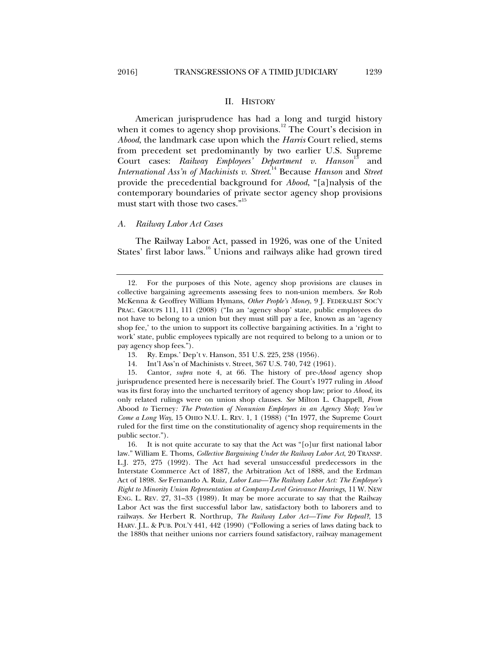#### II. HISTORY

American jurisprudence has had a long and turgid history when it comes to agency shop provisions.<sup>12</sup> The Court's decision in *Abood*, the landmark case upon which the *Harris* Court relied, stems from precedent set predominantly by two earlier U.S. Supreme Court cases: *Railway Employees' Department v. Hanson*<sup>13</sup> and *International Ass'n of Machinists v. Street*. 14 Because *Hanson* and *Street* provide the precedential background for *Abood*, "[a]nalysis of the contemporary boundaries of private sector agency shop provisions must start with those two cases."<sup>15</sup>

#### *A. Railway Labor Act Cases*

The Railway Labor Act, passed in 1926, was one of the United States' first labor laws.<sup>16</sup> Unions and railways alike had grown tired

 <sup>12.</sup> For the purposes of this Note, agency shop provisions are clauses in collective bargaining agreements assessing fees to non-union members. *See* Rob McKenna & Geoffrey William Hymans, *Other People's Money*, 9 J. FEDERALIST SOC'Y PRAC. GROUPS 111, 111 (2008) ("In an 'agency shop' state, public employees do not have to belong to a union but they must still pay a fee, known as an 'agency shop fee,' to the union to support its collective bargaining activities. In a 'right to work' state, public employees typically are not required to belong to a union or to pay agency shop fees.").

 <sup>13.</sup> Ry. Emps.' Dep't v. Hanson, 351 U.S. 225, 238 (1956).

 <sup>14.</sup> Int'l Ass'n of Machinists v. Street, 367 U.S. 740, 742 (1961).

 <sup>15.</sup> Cantor, *supra* note 4, at 66. The history of pre-*Abood* agency shop jurisprudence presented here is necessarily brief. The Court's 1977 ruling in *Abood* was its first foray into the uncharted territory of agency shop law; prior to *Abood*, its only related rulings were on union shop clauses. *See* Milton L. Chappell, *From*  Abood *to* Tierney*: The Protection of Nonunion Employees in an Agency Shop; You've Come a Long Way*, 15 OHIO N.U. L. REV. 1, 1 (1988) ("In 1977, the Supreme Court ruled for the first time on the constitutionality of agency shop requirements in the public sector.").

 <sup>16.</sup> It is not quite accurate to say that the Act was "[o]ur first national labor law." William E. Thoms, *Collective Bargaining Under the Railway Labor Act*, 20 TRANSP. L.J. 275, 275 (1992). The Act had several unsuccessful predecessors in the Interstate Commerce Act of 1887, the Arbitration Act of 1888, and the Erdman Act of 1898. *See* Fernando A. Ruiz, *Labor Law—The Railway Labor Act: The Employee's Right to Minority Union Representation at Company-Level Grievance Hearings*, 11 W. NEW ENG. L. REV. 27, 31–33 (1989). It may be more accurate to say that the Railway Labor Act was the first successful labor law, satisfactory both to laborers and to railways. *See* Herbert R. Northrup, *The Railway Labor Act—Time For Repeal?*, 13 HARV. J.L. & PUB. POL'Y 441, 442 (1990) ("Following a series of laws dating back to the 1880s that neither unions nor carriers found satisfactory, railway management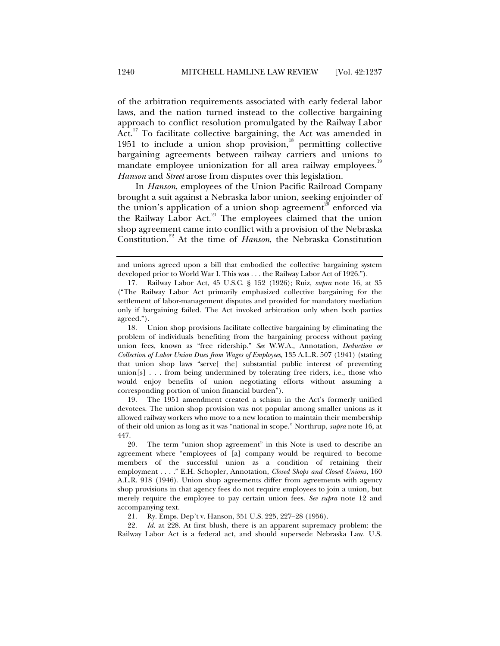of the arbitration requirements associated with early federal labor laws, and the nation turned instead to the collective bargaining approach to conflict resolution promulgated by the Railway Labor Act.<sup>17</sup> To facilitate collective bargaining, the Act was amended in 1951 to include a union shop provision, $\frac{18}{3}$  permitting collective bargaining agreements between railway carriers and unions to mandate employee unionization for all area railway employees.<sup>19</sup> *Hanson* and *Street* arose from disputes over this legislation.

In *Hanson*, employees of the Union Pacific Railroad Company brought a suit against a Nebraska labor union, seeking enjoinder of the union's application of a union shop agreement<sup>20</sup> enforced via the Railway Labor Act. $21$  The employees claimed that the union shop agreement came into conflict with a provision of the Nebraska Constitution.22 At the time of *Hanson*, the Nebraska Constitution

 19. The 1951 amendment created a schism in the Act's formerly unified devotees. The union shop provision was not popular among smaller unions as it allowed railway workers who move to a new location to maintain their membership of their old union as long as it was "national in scope." Northrup, *supra* note 16, at 447.

 20. The term "union shop agreement" in this Note is used to describe an agreement where "employees of [a] company would be required to become members of the successful union as a condition of retaining their employment . . . ." E.H. Schopler, Annotation, *Closed Shops and Closed Unions*, 160 A.L.R. 918 (1946). Union shop agreements differ from agreements with agency shop provisions in that agency fees do not require employees to join a union, but merely require the employee to pay certain union fees. *See supra* note 12 and accompanying text.

21. Ry. Emps. Dep't v. Hanson, 351 U.S. 225, 227–28 (1956).

 22. *Id.* at 228. At first blush, there is an apparent supremacy problem: the Railway Labor Act is a federal act, and should supersede Nebraska Law. U.S.

and unions agreed upon a bill that embodied the collective bargaining system developed prior to World War I. This was . . . the Railway Labor Act of 1926.").

 <sup>17.</sup> Railway Labor Act, 45 U.S.C. § 152 (1926); Ruiz, *supra* note 16, at 35 ("The Railway Labor Act primarily emphasized collective bargaining for the settlement of labor-management disputes and provided for mandatory mediation only if bargaining failed. The Act invoked arbitration only when both parties agreed.").

 <sup>18.</sup> Union shop provisions facilitate collective bargaining by eliminating the problem of individuals benefiting from the bargaining process without paying union fees, known as "free ridership." *See* W.W.A., Annotation, *Deduction or Collection of Labor Union Dues from Wages of Employees*, 135 A.L.R. 507 (1941) (stating that union shop laws "serve[ the] substantial public interest of preventing union[s] . . . from being undermined by tolerating free riders, i.e., those who would enjoy benefits of union negotiating efforts without assuming a corresponding portion of union financial burden").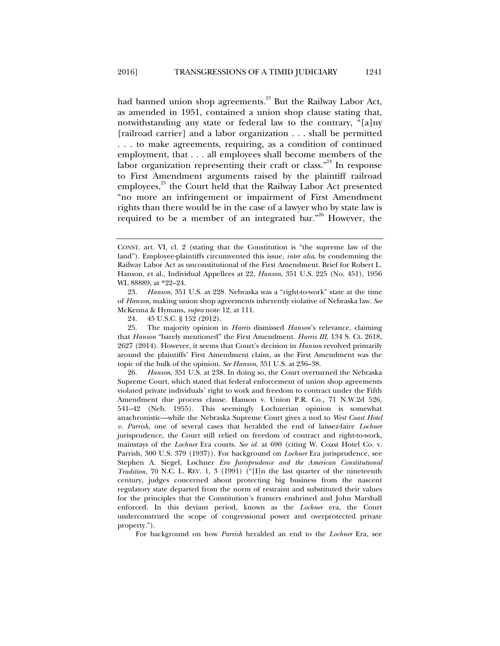had banned union shop agreements.<sup>23</sup> But the Railway Labor Act, as amended in 1951, contained a union shop clause stating that, notwithstanding any state or federal law to the contrary, "[a]ny [railroad carrier] and a labor organization . . . shall be permitted . . . to make agreements, requiring, as a condition of continued employment, that . . . all employees shall become members of the labor organization representing their craft or class."<sup>24</sup> In response to First Amendment arguments raised by the plaintiff railroad employees, $25$  the Court held that the Railway Labor Act presented "no more an infringement or impairment of First Amendment rights than there would be in the case of a lawyer who by state law is required to be a member of an integrated bar."<sup>26</sup> However, the

 26. *Hanson*, 351 U.S. at 238. In doing so, the Court overturned the Nebraska Supreme Court, which stated that federal enforcement of union shop agreements violated private individuals' right to work and freedom to contract under the Fifth Amendment due process clause. Hanson v. Union P.R. Co., 71 N.W.2d 526, 541–42 (Neb. 1955). This seemingly Lochnerian opinion is somewhat anachronistic—while the Nebraska Supreme Court gives a nod to *West Coast Hotel v. Parrish*, one of several cases that heralded the end of laissez-faire *Lochner* jurisprudence, the Court still relied on freedom of contract and right-to-work, mainstays of the *Lochner* Era courts. *See id.* at 690 (citing W. Coast Hotel Co. v. Parrish, 300 U.S. 379 (1937)). For background on *Lochner* Era jurisprudence, see Stephen A. Siegel, Lochner *Era Jurisprudence and the American Constitutional Tradition*, 70 N.C. L. REV. 1, 3 (1991) ("[I]n the last quarter of the nineteenth century, judges concerned about protecting big business from the nascent regulatory state departed from the norm of restraint and substituted their values for the principles that the Constitution's framers enshrined and John Marshall enforced. In this deviant period, known as the *Lochner* era, the Court underconstrued the scope of congressional power and overprotected private property.").

For background on how *Parrish* heralded an end to the *Lochner* Era, see

CONST. art. VI, cl. 2 (stating that the Constitution is "the supreme law of the land"). Employee-plaintiffs circumvented this issue, *inter alia*, by condemning the Railway Labor Act as unconstitutional of the First Amendment. Brief for Robert L. Hanson, et al., Individual Appellees at 22, *Hanson*, 351 U.S. 225 (No. 451), 1956 WL 88889, at \*22–24.

 <sup>23.</sup> *Hanson*, 351 U.S. at 228. Nebraska was a "right-to-work" state at the time of *Hanson*, making union shop agreements inherently violative of Nebraska law. *See* McKenna & Hymans, *supra* note 12, at 111.

 <sup>24. 45</sup> U.S.C. § 152 (2012).

 <sup>25.</sup> The majority opinion in *Harris* dismissed *Hanson*'s relevance, claiming that *Hanson* "barely mentioned" the First Amendment. *Harris III*, 134 S. Ct. 2618, 2627 (2014). However, it seems that Court's decision in *Hanson* revolved primarily around the plaintiffs' First Amendment claim, as the First Amendment was the topic of the bulk of the opinion. *See Hanson*, 351 U.S. at 236–38.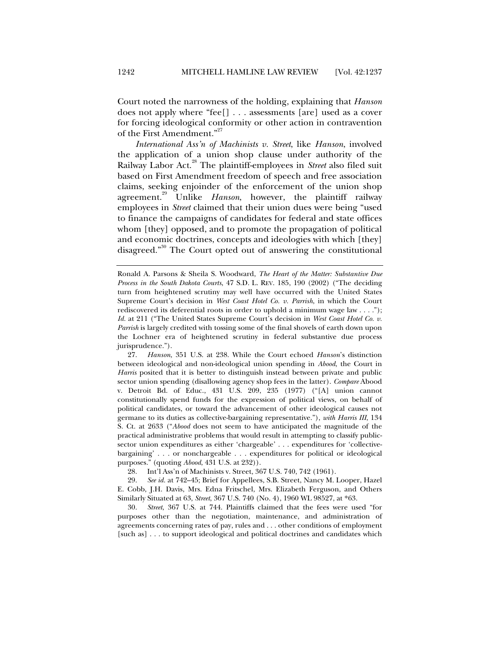Court noted the narrowness of the holding, explaining that *Hanson* does not apply where "fee[] . . . assessments [are] used as a cover for forcing ideological conformity or other action in contravention of the First Amendment."<sup>27</sup>

*International Ass'n of Machinists v. Street*, like *Hanson*, involved the application of a union shop clause under authority of the Railway Labor Act.28 The plaintiff-employees in *Street* also filed suit based on First Amendment freedom of speech and free association claims, seeking enjoinder of the enforcement of the union shop agreement.<sup>29</sup> Unlike *Hanson*, however, the plaintiff railway employees in *Street* claimed that their union dues were being "used to finance the campaigns of candidates for federal and state offices whom [they] opposed, and to promote the propagation of political and economic doctrines, concepts and ideologies with which [they] disagreed."<sup>30</sup> The Court opted out of answering the constitutional

 27. *Hanson*, 351 U.S. at 238. While the Court echoed *Hanson*'s distinction between ideological and non-ideological union spending in *Abood*, the Court in *Harris* posited that it is better to distinguish instead between private and public sector union spending (disallowing agency shop fees in the latter). *Compare* Abood v. Detroit Bd. of Educ., 431 U.S. 209, 235 (1977) ("[A] union cannot constitutionally spend funds for the expression of political views, on behalf of political candidates, or toward the advancement of other ideological causes not germane to its duties as collective-bargaining representative."), *with Harris III*, 134 S. Ct. at 2633 ("*Abood* does not seem to have anticipated the magnitude of the practical administrative problems that would result in attempting to classify publicsector union expenditures as either 'chargeable' . . . expenditures for 'collectivebargaining' . . . or nonchargeable . . . expenditures for political or ideological purposes." (quoting *Abood*, 431 U.S. at 232)).

28. Int'l Ass'n of Machinists v. Street, 367 U.S. 740, 742 (1961).

 29. *See id.* at 742–45; Brief for Appellees, S.B. Street, Nancy M. Looper, Hazel E. Cobb, J.H. Davis, Mrs. Edna Fritschel, Mrs. Elizabeth Ferguson, and Others Similarly Situated at 63, *Street*, 367 U.S. 740 (No. 4), 1960 WL 98527, at \*63.

 30. *Street*, 367 U.S. at 744. Plaintiffs claimed that the fees were used "for purposes other than the negotiation, maintenance, and administration of agreements concerning rates of pay, rules and . . . other conditions of employment [such as] . . . to support ideological and political doctrines and candidates which

Ronald A. Parsons & Sheila S. Woodward, *The Heart of the Matter: Substantive Due Process in the South Dakota Courts*, 47 S.D. L. REV. 185, 190 (2002) ("The deciding turn from heightened scrutiny may well have occurred with the United States Supreme Court's decision in *West Coast Hotel Co. v. Parrish*, in which the Court rediscovered its deferential roots in order to uphold a minimum wage law . . . ."); *Id.* at 211 ("The United States Supreme Court's decision in *West Coast Hotel Co. v. Parrish* is largely credited with tossing some of the final shovels of earth down upon the Lochner era of heightened scrutiny in federal substantive due process jurisprudence.").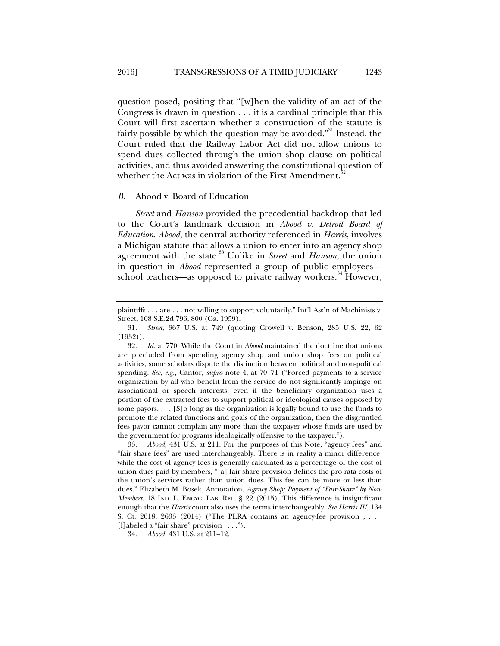question posed, positing that "[w]hen the validity of an act of the Congress is drawn in question . . . it is a cardinal principle that this Court will first ascertain whether a construction of the statute is fairly possible by which the question may be avoided."<sup>31</sup> Instead, the Court ruled that the Railway Labor Act did not allow unions to spend dues collected through the union shop clause on political activities, and thus avoided answering the constitutional question of whether the Act was in violation of the First Amendment.<sup>3</sup>

#### *B.* Abood v. Board of Education

*Street* and *Hanson* provided the precedential backdrop that led to the Court's landmark decision in *Abood v. Detroit Board of Education*. *Abood*, the central authority referenced in *Harris*, involves a Michigan statute that allows a union to enter into an agency shop agreement with the state.<sup>33</sup> Unlike in *Street* and *Hanson*, the union in question in *Abood* represented a group of public employees school teachers—as opposed to private railway workers.<sup>34</sup> However,

plaintiffs . . . are . . . not willing to support voluntarily." Int'l Ass'n of Machinists v. Street, 108 S.E.2d 796, 800 (Ga. 1959).

 <sup>31.</sup> *Street*, 367 U.S. at 749 (quoting Crowell v. Benson, 285 U.S. 22, 62 (1932)).

 <sup>32.</sup> *Id.* at 770. While the Court in *Abood* maintained the doctrine that unions are precluded from spending agency shop and union shop fees on political activities, some scholars dispute the distinction between political and non-political spending. *See, e.g.*, Cantor, *supra* note 4, at 70–71 ("Forced payments to a service organization by all who benefit from the service do not significantly impinge on associational or speech interests, even if the beneficiary organization uses a portion of the extracted fees to support political or ideological causes opposed by some payors. . . . [S]o long as the organization is legally bound to use the funds to promote the related functions and goals of the organization, then the disgruntled fees payor cannot complain any more than the taxpayer whose funds are used by the government for programs ideologically offensive to the taxpayer.").

 <sup>33.</sup> *Abood*, 431 U.S. at 211. For the purposes of this Note, "agency fees" and "fair share fees" are used interchangeably. There is in reality a minor difference: while the cost of agency fees is generally calculated as a percentage of the cost of union dues paid by members, "[a] fair share provision defines the pro rata costs of the union's services rather than union dues. This fee can be more or less than dues." Elizabeth M. Bosek, Annotation, *Agency Shop; Payment of "Fair-Share" by Non-Members*, 18 IND. L. ENCYC. LAB. REL. § 22 (2015). This difference is insignificant enough that the *Harris* court also uses the terms interchangeably. *See Harris III*, 134 S. Ct. 2618, 2633 (2014) ("The PLRA contains an agency-fee provision , . . . [l]abeled a "fair share" provision . . . .").

 <sup>34.</sup> *Abood*, 431 U.S. at 211–12.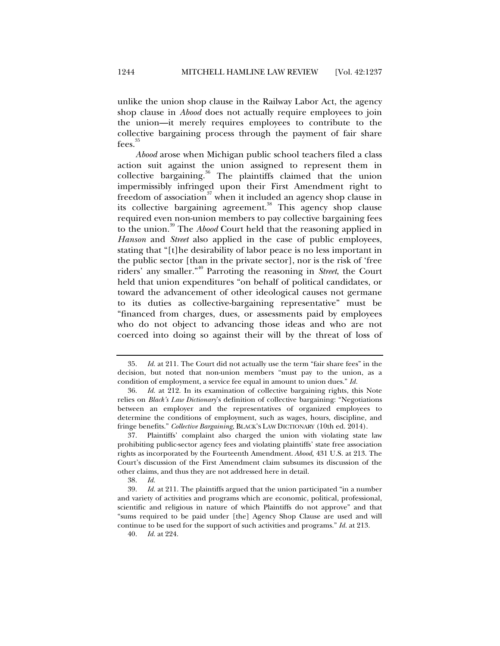unlike the union shop clause in the Railway Labor Act, the agency shop clause in *Abood* does not actually require employees to join the union—it merely requires employees to contribute to the collective bargaining process through the payment of fair share fees.<sup>35</sup>

*Abood* arose when Michigan public school teachers filed a class action suit against the union assigned to represent them in collective bargaining.<sup>36</sup> The plaintiffs claimed that the union impermissibly infringed upon their First Amendment right to freedom of association $37$  when it included an agency shop clause in its collective bargaining agreement.<sup>38</sup> This agency shop clause required even non-union members to pay collective bargaining fees to the union.39 The *Abood* Court held that the reasoning applied in *Hanson* and *Street* also applied in the case of public employees, stating that "[t]he desirability of labor peace is no less important in the public sector [than in the private sector], nor is the risk of 'free riders' any smaller."40 Parroting the reasoning in *Street*, the Court held that union expenditures "on behalf of political candidates, or toward the advancement of other ideological causes not germane to its duties as collective-bargaining representative" must be "financed from charges, dues, or assessments paid by employees who do not object to advancing those ideas and who are not coerced into doing so against their will by the threat of loss of

 <sup>35.</sup> *Id.* at 211. The Court did not actually use the term "fair share fees" in the decision, but noted that non-union members "must pay to the union, as a condition of employment, a service fee equal in amount to union dues." *Id.*

 <sup>36.</sup> *Id.* at 212. In its examination of collective bargaining rights, this Note relies on *Black's Law Dictionary*'s definition of collective bargaining: "Negotiations between an employer and the representatives of organized employees to determine the conditions of employment, such as wages, hours, discipline, and fringe benefits." *Collective Bargaining*, BLACK'S LAW DICTIONARY (10th ed. 2014).

 <sup>37.</sup> Plaintiffs' complaint also charged the union with violating state law prohibiting public-sector agency fees and violating plaintiffs' state free association rights as incorporated by the Fourteenth Amendment. *Abood*, 431 U.S. at 213. The Court's discussion of the First Amendment claim subsumes its discussion of the other claims, and thus they are not addressed here in detail.

 <sup>38.</sup> *Id.*

 <sup>39.</sup> *Id.* at 211. The plaintiffs argued that the union participated "in a number and variety of activities and programs which are economic, political, professional, scientific and religious in nature of which Plaintiffs do not approve" and that "sums required to be paid under [the] Agency Shop Clause are used and will continue to be used for the support of such activities and programs." *Id.* at 213.

 <sup>40.</sup> *Id.* at 224.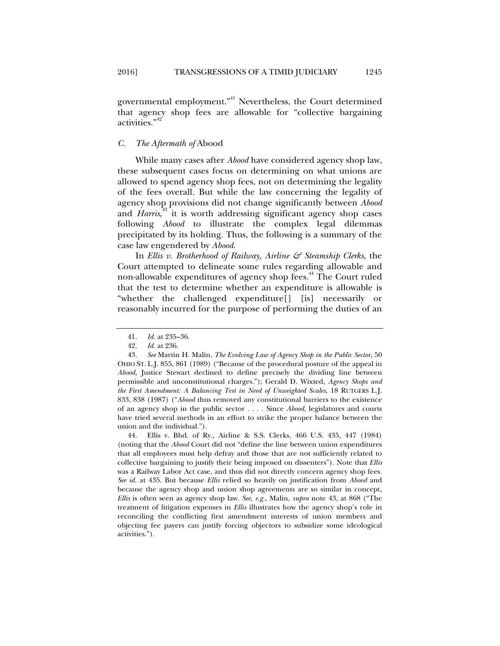governmental employment."<sup>41</sup> Nevertheless, the Court determined that agency shop fees are allowable for "collective bargaining activities."<sup>42</sup>

#### *C. The Aftermath of* Abood

While many cases after *Abood* have considered agency shop law, these subsequent cases focus on determining on what unions are allowed to spend agency shop fees, not on determining the legality of the fees overall. But while the law concerning the legality of agency shop provisions did not change significantly between *Abood* and *Harris*,<sup>43</sup> it is worth addressing significant agency shop cases following *Abood* to illustrate the complex legal dilemmas precipitated by its holding. Thus, the following is a summary of the case law engendered by *Abood*.

In *Ellis v. Brotherhood of Railway, Airline & Steamship Clerks*, the Court attempted to delineate some rules regarding allowable and non-allowable expenditures of agency shop fees.<sup>44</sup> The Court ruled that the test to determine whether an expenditure is allowable is "whether the challenged expenditure[] [is] necessarily or reasonably incurred for the purpose of performing the duties of an

 44. Ellis v. Bhd. of Ry., Airline & S.S. Clerks, 466 U.S. 435, 447 (1984) (noting that the *Abood* Court did not "define the line between union expenditures that all employees must help defray and those that are not sufficiently related to collective bargaining to justify their being imposed on dissenters"). Note that *Ellis* was a Railway Labor Act case, and thus did not directly concern agency shop fees. *See id.* at 435. But because *Ellis* relied so heavily on justification from *Abood* and because the agency shop and union shop agreements are so similar in concept, *Ellis* is often seen as agency shop law. *See, e.g.*, Malin, *supra* note 43, at 868 ("The treatment of litigation expenses in *Ellis* illustrates how the agency shop's role in reconciling the conflicting first amendment interests of union members and objecting fee payers can justify forcing objectors to subsidize some ideological activities.").

 <sup>41.</sup> *Id.* at 235–36.

 <sup>42.</sup> *Id.* at 236.

 <sup>43.</sup> *See* Martin H. Malin, *The Evolving Law of Agency Shop in the Public Sector*, 50 OHIO ST. L.J. 855, 861 (1989) ("Because of the procedural posture of the appeal in *Abood*, Justice Stewart declined to define precisely the dividing line between permissible and unconstitutional charges."); Gerald D. Wixted, *Agency Shops and the First Amendment: A Balancing Test in Need of Unweighted Scales*, 18 RUTGERS L.J. 833, 838 (1987) ("*Abood* thus removed any constitutional barriers to the existence of an agency shop in the public sector . . . . Since *Abood*, legislatures and courts have tried several methods in an effort to strike the proper balance between the union and the individual.").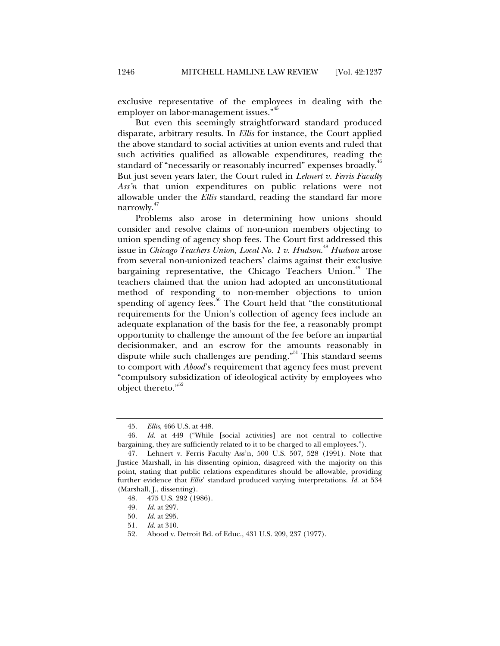exclusive representative of the employees in dealing with the employer on labor-management issues."<sup>45</sup>

But even this seemingly straightforward standard produced disparate, arbitrary results. In *Ellis* for instance, the Court applied the above standard to social activities at union events and ruled that such activities qualified as allowable expenditures, reading the standard of "necessarily or reasonably incurred" expenses broadly.<sup>46</sup> But just seven years later, the Court ruled in *Lehnert v. Ferris Faculty Ass'n* that union expenditures on public relations were not allowable under the *Ellis* standard, reading the standard far more narrowly.<sup>47</sup>

Problems also arose in determining how unions should consider and resolve claims of non-union members objecting to union spending of agency shop fees. The Court first addressed this issue in *Chicago Teachers Union, Local No. 1 v. Hudson*. <sup>48</sup> *Hudson* arose from several non-unionized teachers' claims against their exclusive bargaining representative, the Chicago Teachers Union.<sup>49</sup> The teachers claimed that the union had adopted an unconstitutional method of responding to non-member objections to union spending of agency fees.<sup>50</sup> The Court held that "the constitutional" requirements for the Union's collection of agency fees include an adequate explanation of the basis for the fee, a reasonably prompt opportunity to challenge the amount of the fee before an impartial decisionmaker, and an escrow for the amounts reasonably in dispute while such challenges are pending. $\frac{1}{n}$  This standard seems to comport with *Abood*'s requirement that agency fees must prevent "compulsory subsidization of ideological activity by employees who object thereto."<sup>52</sup>

 <sup>45.</sup> *Ellis*, 466 U.S. at 448.

 <sup>46.</sup> *Id.* at 449 ("While [social activities] are not central to collective bargaining, they are sufficiently related to it to be charged to all employees.").

 <sup>47.</sup> Lehnert v. Ferris Faculty Ass'n, 500 U.S. 507, 528 (1991). Note that Justice Marshall, in his dissenting opinion, disagreed with the majority on this point, stating that public relations expenditures should be allowable, providing further evidence that *Ellis*' standard produced varying interpretations. *Id.* at 534 (Marshall, J., dissenting).

 <sup>48. 475</sup> U.S. 292 (1986).

 <sup>49.</sup> *Id.* at 297.

 <sup>50.</sup> *Id.* at 295.

 <sup>51.</sup> *Id.* at 310.

 <sup>52.</sup> Abood v. Detroit Bd. of Educ., 431 U.S. 209, 237 (1977).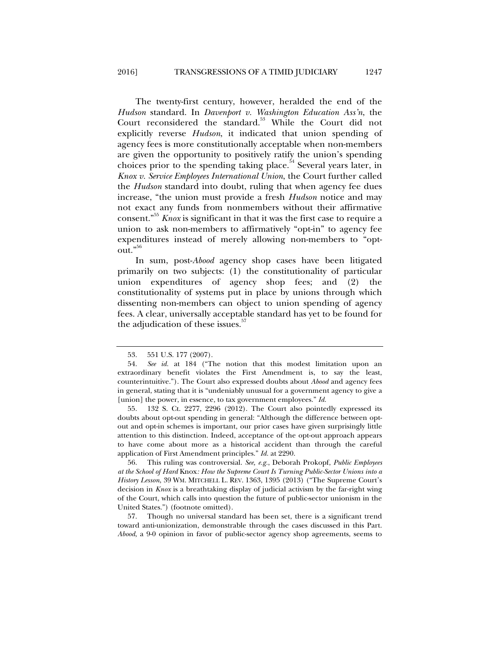The twenty-first century, however, heralded the end of the *Hudson* standard. In *Davenport v. Washington Education Ass'n*, the Court reconsidered the standard.<sup>53</sup> While the Court did not explicitly reverse *Hudson*, it indicated that union spending of agency fees is more constitutionally acceptable when non-members are given the opportunity to positively ratify the union's spending choices prior to the spending taking place.<sup>54</sup> Several years later, in *Knox v. Service Employees International Union*, the Court further called the *Hudson* standard into doubt, ruling that when agency fee dues increase, "the union must provide a fresh *Hudson* notice and may not exact any funds from nonmembers without their affirmative consent."55 *Knox* is significant in that it was the first case to require a union to ask non-members to affirmatively "opt-in" to agency fee expenditures instead of merely allowing non-members to "optout."<sup>56</sup>

In sum, post-*Abood* agency shop cases have been litigated primarily on two subjects: (1) the constitutionality of particular union expenditures of agency shop fees; and (2) the constitutionality of systems put in place by unions through which dissenting non-members can object to union spending of agency fees. A clear, universally acceptable standard has yet to be found for the adjudication of these issues.<sup>57</sup>

 55. 132 S. Ct. 2277, 2296 (2012). The Court also pointedly expressed its doubts about opt-out spending in general: "Although the difference between optout and opt-in schemes is important, our prior cases have given surprisingly little attention to this distinction. Indeed, acceptance of the opt-out approach appears to have come about more as a historical accident than through the careful application of First Amendment principles." *Id.* at 2290.

 56. This ruling was controversial. *See, e.g.*, Deborah Prokopf, *Public Employees at the School of Hard* Knox*: How the Supreme Court Is Turning Public-Sector Unions into a History Lesson*, 39 WM. MITCHELL L. REV. 1363, 1395 (2013) ("The Supreme Court's decision in *Knox* is a breathtaking display of judicial activism by the far-right wing of the Court, which calls into question the future of public-sector unionism in the United States.") (footnote omitted).

 57. Though no universal standard has been set, there is a significant trend toward anti-unionization, demonstrable through the cases discussed in this Part. *Abood*, a 9-0 opinion in favor of public-sector agency shop agreements, seems to

 <sup>53. 551</sup> U.S. 177 (2007).

 <sup>54.</sup> *See id.* at 184 ("The notion that this modest limitation upon an extraordinary benefit violates the First Amendment is, to say the least, counterintuitive."). The Court also expressed doubts about *Abood* and agency fees in general, stating that it is "undeniably unusual for a government agency to give a [union] the power, in essence, to tax government employees." *Id.*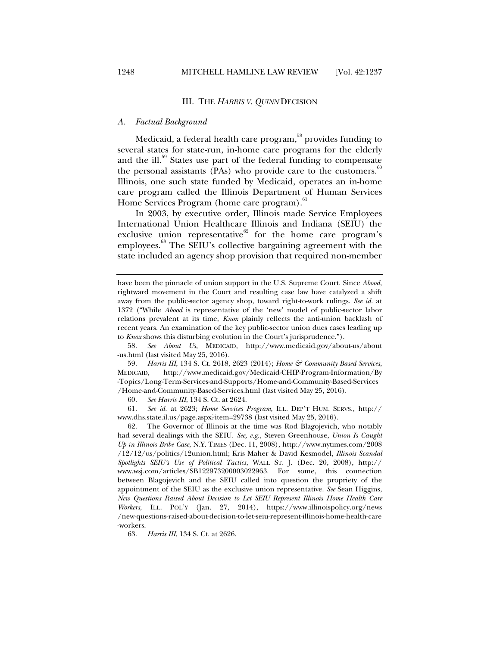#### III. THE *HARRIS V. QUINN* DECISION

#### *A. Factual Background*

Medicaid, a federal health care program,<sup>58</sup> provides funding to several states for state-run, in-home care programs for the elderly and the ill.<sup>59</sup> States use part of the federal funding to compensate the personal assistants (PAs) who provide care to the customers.<sup>60</sup> Illinois, one such state funded by Medicaid, operates an in-home care program called the Illinois Department of Human Services Home Services Program (home care program).<sup>61</sup>

In 2003, by executive order, Illinois made Service Employees International Union Healthcare Illinois and Indiana (SEIU) the exclusive union representative<sup>62</sup> for the home care program's employees.<sup>63</sup> The SEIU's collective bargaining agreement with the state included an agency shop provision that required non-member

 58. *See About Us*, MEDICAID, http://www.medicaid.gov/about-us/about -us.html (last visited May 25, 2016).

 59. *Harris III*, 134 S. Ct. 2618, 2623 (2014); *Home & Community Based Services*, MEDICAID, http://www.medicaid.gov/Medicaid-CHIP-Program-Information/By -Topics/Long-Term-Services-and-Supports/Home-and-Community-Based-Services /Home-and-Community-Based-Services.html (last visited May 25, 2016).

60. *See Harris III*, 134 S. Ct. at 2624.

 61. *See id.* at 2623; *Home Services Program*, ILL. DEP'T HUM. SERVS., http:// www.dhs.state.il.us/page.aspx?item=29738 (last visited May 25, 2016).

 62. The Governor of Illinois at the time was Rod Blagojevich, who notably had several dealings with the SEIU. *See, e.g.*, Steven Greenhouse, *Union Is Caught Up in Illinois Bribe Case*, N.Y. TIMES (Dec. 11, 2008), http://www.nytimes.com/2008 /12/12/us/politics/12union.html; Kris Maher & David Kesmodel, *Illinois Scandal Spotlights SEIU's Use of Political Tactics*, WALL ST. J. (Dec. 20, 2008), http:// www.wsj.com/articles/SB122973200003022963. For some, this connection between Blagojevich and the SEIU called into question the propriety of the appointment of the SEIU as the exclusive union representative. *See* Sean Higgins, *New Questions Raised About Decision to Let SEIU Represent Illinois Home Health Care Workers*, ILL. POL'Y (Jan. 27, 2014), https://www.illinoispolicy.org/news /new-questions-raised-about-decision-to-let-seiu-represent-illinois-home-health-care -workers.

63. *Harris III*, 134 S. Ct. at 2626.

have been the pinnacle of union support in the U.S. Supreme Court. Since *Abood*, rightward movement in the Court and resulting case law have catalyzed a shift away from the public-sector agency shop, toward right-to-work rulings. *See id.* at 1372 ("While *Abood* is representative of the 'new' model of public-sector labor relations prevalent at its time, *Knox* plainly reflects the anti-union backlash of recent years. An examination of the key public-sector union dues cases leading up to *Knox* shows this disturbing evolution in the Court's jurisprudence.").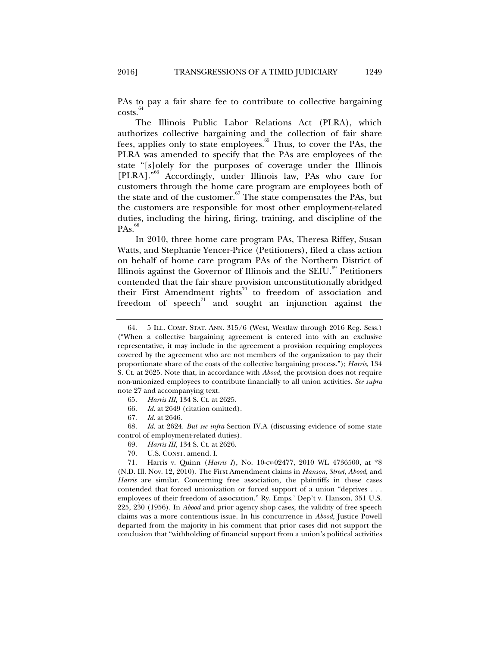PAs to pay a fair share fee to contribute to collective bargaining  $costs.<sup>64</sup>$ 

The Illinois Public Labor Relations Act (PLRA), which authorizes collective bargaining and the collection of fair share fees, applies only to state employees.<sup>65</sup> Thus, to cover the PAs, the PLRA was amended to specify that the PAs are employees of the state "[s]olely for the purposes of coverage under the Illinois [PLRA]."<sup>66</sup> Accordingly, under Illinois law, PAs who care for customers through the home care program are employees both of the state and of the customer.<sup>67</sup> The state compensates the PAs, but the customers are responsible for most other employment-related duties, including the hiring, firing, training, and discipline of the  $PAs.<sup>6</sup>$ 

In 2010, three home care program PAs, Theresa Riffey, Susan Watts, and Stephanie Yencer-Price (Petitioners), filed a class action on behalf of home care program PAs of the Northern District of Illinois against the Governor of Illinois and the SEIU.<sup>69</sup> Petitioners contended that the fair share provision unconstitutionally abridged their First Amendment rights<sup>70</sup> to freedom of association and freedom of speech<sup> $71$ </sup> and sought an injunction against the

70. U.S. CONST. amend. I.

 71. Harris v. Quinn (*Harris I*), No. 10-cv-02477, 2010 WL 4736500, at \*8 (N.D. Ill. Nov. 12, 2010). The First Amendment claims in *Hanson*, *Street*, *Abood*, and *Harris* are similar. Concerning free association, the plaintiffs in these cases contended that forced unionization or forced support of a union "deprives . . . employees of their freedom of association." Ry. Emps.' Dep't v. Hanson, 351 U.S. 225, 230 (1956). In *Abood* and prior agency shop cases, the validity of free speech claims was a more contentious issue. In his concurrence in *Abood*, Justice Powell departed from the majority in his comment that prior cases did not support the conclusion that "withholding of financial support from a union's political activities

 <sup>64. 5</sup> ILL. COMP. STAT. ANN. 315/6 (West, Westlaw through 2016 Reg. Sess.) ("When a collective bargaining agreement is entered into with an exclusive representative, it may include in the agreement a provision requiring employees covered by the agreement who are not members of the organization to pay their proportionate share of the costs of the collective bargaining process."); *Harris*, 134 S. Ct. at 2625. Note that, in accordance with *Abood*, the provision does not require non-unionized employees to contribute financially to all union activities. *See supra* note 27 and accompanying text.

 <sup>65.</sup> *Harris III*, 134 S. Ct. at 2625*.*

 <sup>66.</sup> *Id.* at 2649 (citation omitted).

 <sup>67.</sup> *Id.* at 2646.

 <sup>68.</sup> *Id.* at 2624. *But see infra* Section IV.A (discussing evidence of some state control of employment-related duties).

 <sup>69.</sup> *Harris III*, 134 S. Ct. at 2626.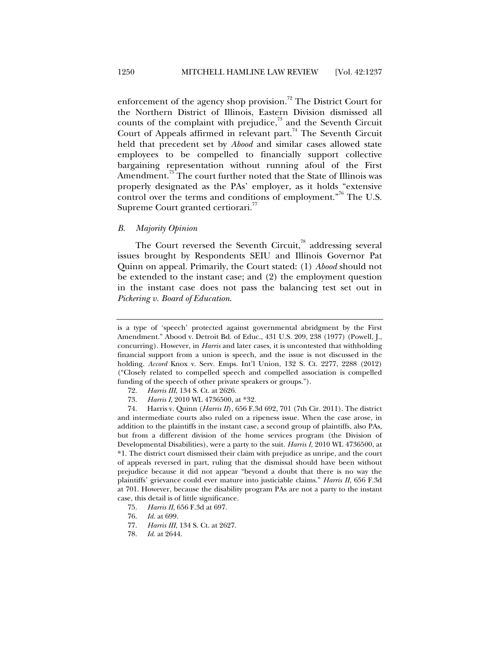enforcement of the agency shop provision.<sup>72</sup> The District Court for the Northern District of Illinois, Eastern Division dismissed all counts of the complaint with prejudice, $7<sup>3</sup>$  and the Seventh Circuit Court of Appeals affirmed in relevant part.<sup>74</sup> The Seventh Circuit held that precedent set by *Abood* and similar cases allowed state employees to be compelled to financially support collective bargaining representation without running afoul of the First Amendment.<sup>75</sup> The court further noted that the State of Illinois was properly designated as the PAs' employer, as it holds "extensive control over the terms and conditions of employment.<sup>76</sup> The U.S. Supreme Court granted certiorari.<sup>77</sup>

#### *B. Majority Opinion*

The Court reversed the Seventh Circuit,<sup>78</sup> addressing several issues brought by Respondents SEIU and Illinois Governor Pat Quinn on appeal. Primarily, the Court stated: (1) *Abood* should not be extended to the instant case; and (2) the employment question in the instant case does not pass the balancing test set out in *Pickering v. Board of Education*.

- 72. *Harris III*, 134 S. Ct. at 2626.
- 73. *Harris I*, 2010 WL 4736500, at \*32.

is a type of 'speech' protected against governmental abridgment by the First Amendment." Abood v. Detroit Bd. of Educ., 431 U.S. 209, 238 (1977) (Powell, J., concurring). However, in *Harris* and later cases, it is uncontested that withholding financial support from a union is speech, and the issue is not discussed in the holding. *Accord* Knox v. Serv. Emps. Int'l Union, 132 S. Ct. 2277, 2288 (2012) ("Closely related to compelled speech and compelled association is compelled funding of the speech of other private speakers or groups.").

 <sup>74.</sup> Harris v. Quinn (*Harris II*), 656 F.3d 692, 701 (7th Cir. 2011). The district and intermediate courts also ruled on a ripeness issue. When the case arose, in addition to the plaintiffs in the instant case, a second group of plaintiffs, also PAs, but from a different division of the home services program (the Division of Developmental Disabilities), were a party to the suit. *Harris I*, 2010 WL 4736500, at \*1. The district court dismissed their claim with prejudice as unripe, and the court of appeals reversed in part, ruling that the dismissal should have been without prejudice because it did not appear "beyond a doubt that there is no way the plaintiffs' grievance could ever mature into justiciable claims." *Harris II*, 656 F.3d at 701. However, because the disability program PAs are not a party to the instant case, this detail is of little significance.

 <sup>75.</sup> *Harris II*, 656 F.3d at 697.

 <sup>76.</sup> *Id.* at 699.

 <sup>77.</sup> *Harris III*, 134 S. Ct. at 2627.

 <sup>78.</sup> *Id.* at 2644.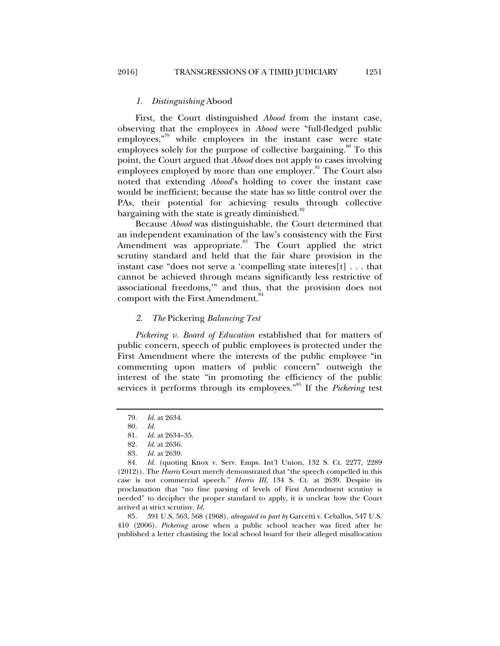First, the Court distinguished *Abood* from the instant case, observing that the employees in *Abood* were "full-fledged public employees, $\frac{79}{9}$  while employees in the instant case were state employees solely for the purpose of collective bargaining.<sup>80</sup> To this point, the Court argued that *Abood* does not apply to cases involving employees employed by more than one employer.<sup>81</sup> The Court also noted that extending *Abood*'s holding to cover the instant case would be inefficient; because the state has so little control over the PAs, their potential for achieving results through collective bargaining with the state is greatly diminished.<sup>82</sup>

Because *Abood* was distinguishable, the Court determined that an independent examination of the law's consistency with the First Amendment was appropriate.<sup>83</sup> The Court applied the strict scrutiny standard and held that the fair share provision in the instant case "does not serve a 'compelling state interes[t] . . . that cannot be achieved through means significantly less restrictive of associational freedoms,'" and thus, that the provision does not comport with the First Amendment.<sup>8</sup>

#### *2. The* Pickering *Balancing Test*

*Pickering v. Board of Education* established that for matters of public concern, speech of public employees is protected under the First Amendment where the interests of the public employee "in commenting upon matters of public concern" outweigh the interest of the state "in promoting the efficiency of the public services it performs through its employees."85 If the *Pickering* test

 85. 391 U.S. 563, 568 (1968), *abrogated in part by* Garcetti v. Ceballos, 547 U.S. 410 (2006). *Pickering* arose when a public school teacher was fired after he published a letter chastising the local school board for their alleged misallocation

 <sup>79.</sup> *Id.* at 2634.

 <sup>80.</sup> *Id.*

 <sup>81.</sup> *Id.* at 2634–35.

*Id.* at 2636.

 <sup>83.</sup> *Id.* at 2639.

 <sup>84.</sup> *Id.* (quoting Knox v. Serv. Emps. Int'l Union, 132 S. Ct. 2277, 2289 (2012)). The *Harris* Court merely demonstrated that "the speech compelled in this case is not commercial speech." *Harris III*, 134 S. Ct. at 2639. Despite its proclamation that "no fine parsing of levels of First Amendment scrutiny is needed" to decipher the proper standard to apply, it is unclear how the Court arrived at strict scrutiny. *Id.*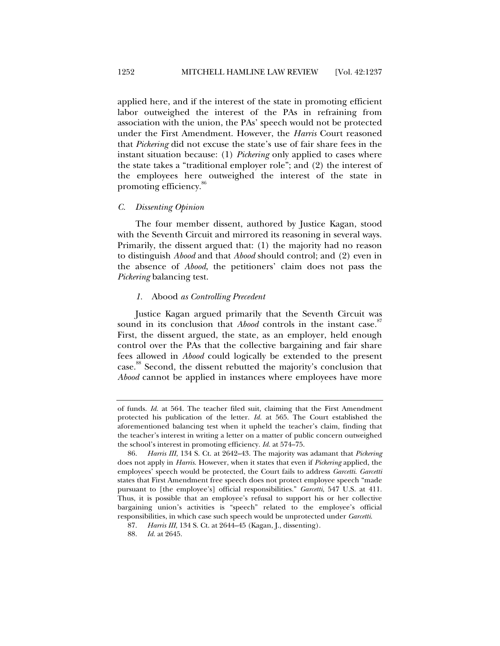applied here, and if the interest of the state in promoting efficient labor outweighed the interest of the PAs in refraining from association with the union, the PAs' speech would not be protected under the First Amendment. However, the *Harris* Court reasoned that *Pickering* did not excuse the state's use of fair share fees in the instant situation because: (1) *Pickering* only applied to cases where the state takes a "traditional employer role"; and (2) the interest of the employees here outweighed the interest of the state in promoting efficiency.<sup>80</sup>

#### *C. Dissenting Opinion*

The four member dissent, authored by Justice Kagan, stood with the Seventh Circuit and mirrored its reasoning in several ways. Primarily, the dissent argued that: (1) the majority had no reason to distinguish *Abood* and that *Abood* should control; and (2) even in the absence of *Abood*, the petitioners' claim does not pass the *Pickering* balancing test.

#### *1.* Abood *as Controlling Precedent*

Justice Kagan argued primarily that the Seventh Circuit was sound in its conclusion that *Abood* controls in the instant case.<sup>87</sup> First, the dissent argued, the state, as an employer, held enough control over the PAs that the collective bargaining and fair share fees allowed in *Abood* could logically be extended to the present case.<sup>88</sup> Second, the dissent rebutted the majority's conclusion that *Abood* cannot be applied in instances where employees have more

of funds. *Id.* at 564. The teacher filed suit, claiming that the First Amendment protected his publication of the letter. *Id.* at 565. The Court established the aforementioned balancing test when it upheld the teacher's claim, finding that the teacher's interest in writing a letter on a matter of public concern outweighed the school's interest in promoting efficiency. *Id.* at 574–75.

 <sup>86.</sup> *Harris III*, 134 S. Ct. at 2642–43. The majority was adamant that *Pickering*  does not apply in *Harris*. However, when it states that even if *Pickering* applied, the employees' speech would be protected, the Court fails to address *Garcetti*. *Garcetti* states that First Amendment free speech does not protect employee speech "made pursuant to [the employee's] official responsibilities." *Garcetti*, 547 U.S. at 411. Thus, it is possible that an employee's refusal to support his or her collective bargaining union's activities is "speech" related to the employee's official responsibilities, in which case such speech would be unprotected under *Garcetti*.

 <sup>87.</sup> *Harris III*, 134 S. Ct. at 2644–45 (Kagan, J., dissenting).

 <sup>88.</sup> *Id.* at 2645.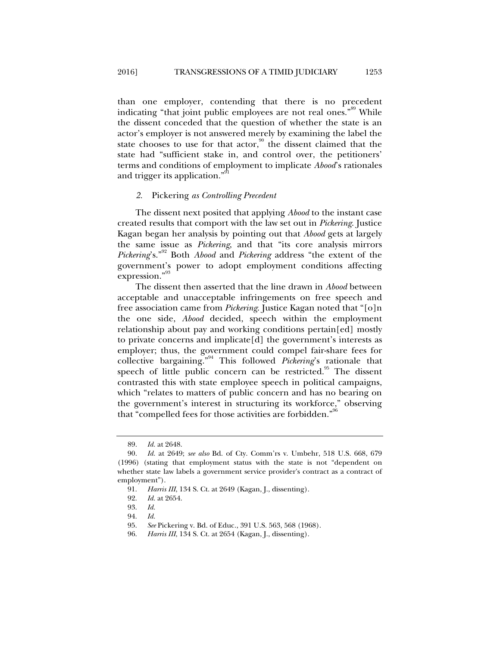than one employer, contending that there is no precedent indicating "that joint public employees are not real ones."<sup>89</sup> While the dissent conceded that the question of whether the state is an actor's employer is not answered merely by examining the label the state chooses to use for that actor,<sup>90</sup> the dissent claimed that the state had "sufficient stake in, and control over, the petitioners' terms and conditions of employment to implicate *Abood*'s rationales and trigger its application."<sup>91</sup>

#### *2.* Pickering *as Controlling Precedent*

The dissent next posited that applying *Abood* to the instant case created results that comport with the law set out in *Pickering*. Justice Kagan began her analysis by pointing out that *Abood* gets at largely the same issue as *Pickering*, and that "its core analysis mirrors *Pickering*'s."92 Both *Abood* and *Pickering* address "the extent of the government's power to adopt employment conditions affecting expression."<sup>93</sup>

The dissent then asserted that the line drawn in *Abood* between acceptable and unacceptable infringements on free speech and free association came from *Pickering*. Justice Kagan noted that "[o]n the one side, *Abood* decided, speech within the employment relationship about pay and working conditions pertain[ed] mostly to private concerns and implicate[d] the government's interests as employer; thus, the government could compel fair-share fees for collective bargaining."94 This followed *Pickering*'s rationale that speech of little public concern can be restricted.<sup>95</sup> The dissent contrasted this with state employee speech in political campaigns, which "relates to matters of public concern and has no bearing on the government's interest in structuring its workforce," observing that "compelled fees for those activities are forbidden."<sup>90</sup>

 <sup>89.</sup> *Id.* at 2648.

 <sup>90.</sup> *Id.* at 2649; *see also* Bd. of Cty. Comm'rs v. Umbehr, 518 U.S. 668, 679 (1996) (stating that employment status with the state is not "dependent on whether state law labels a government service provider's contract as a contract of employment").

 <sup>91.</sup> *Harris III*, 134 S. Ct. at 2649 (Kagan, J., dissenting).

*Id.* at 2654.

 <sup>93.</sup> *Id.*

 <sup>94.</sup> *Id.*

 <sup>95.</sup> *See* Pickering v. Bd. of Educ., 391 U.S. 563, 568 (1968).

 <sup>96.</sup> *Harris III*, 134 S. Ct. at 2654 (Kagan, J., dissenting).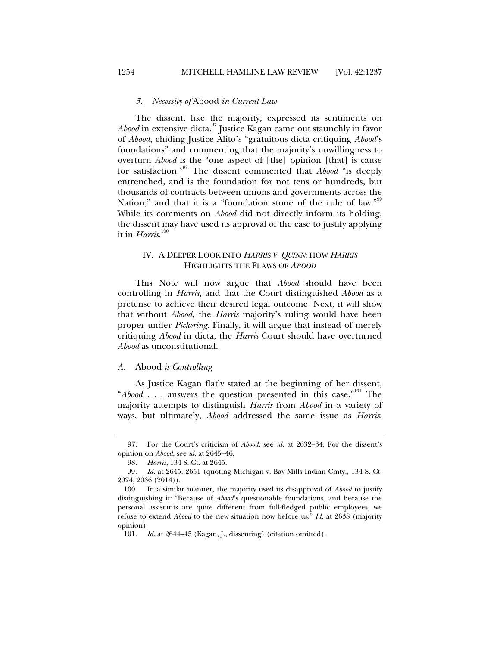#### *3. Necessity of* Abood *in Current Law*

The dissent, like the majority, expressed its sentiments on *Abood* in extensive dicta.97 Justice Kagan came out staunchly in favor of *Abood*, chiding Justice Alito's "gratuitous dicta critiquing *Abood*'s foundations" and commenting that the majority's unwillingness to overturn *Abood* is the "one aspect of [the] opinion [that] is cause for satisfaction."98 The dissent commented that *Abood* "is deeply entrenched, and is the foundation for not tens or hundreds, but thousands of contracts between unions and governments across the Nation," and that it is a "foundation stone of the rule of law."<sup>99</sup> While its comments on *Abood* did not directly inform its holding, the dissent may have used its approval of the case to justify applying it in *Harris*. 100

### IV. A DEEPER LOOK INTO *HARRIS V. QUINN*: HOW *HARRIS* HIGHLIGHTS THE FLAWS OF *ABOOD*

This Note will now argue that *Abood* should have been controlling in *Harris*, and that the Court distinguished *Abood* as a pretense to achieve their desired legal outcome. Next, it will show that without *Abood*, the *Harris* majority's ruling would have been proper under *Pickering*. Finally, it will argue that instead of merely critiquing *Abood* in dicta, the *Harris* Court should have overturned *Abood* as unconstitutional.

#### *A.* Abood *is Controlling*

As Justice Kagan flatly stated at the beginning of her dissent, "*Abood* . . . answers the question presented in this case."<sup>101</sup> The majority attempts to distinguish *Harris* from *Abood* in a variety of ways, but ultimately, *Abood* addressed the same issue as *Harris*:

 <sup>97.</sup> For the Court's criticism of *Abood*, see *id.* at 2632–34. For the dissent's opinion on *Abood*, see *id.* at 2645–46.

 <sup>98.</sup> *Harris*, 134 S. Ct. at 2645.

<sup>99</sup>*. Id.* at 2645, 2651 (quoting Michigan v. Bay Mills Indian Cmty., 134 S. Ct. 2024, 2036 (2014)).

 <sup>100.</sup> In a similar manner, the majority used its disapproval of *Abood* to justify distinguishing it: "Because of *Abood*'s questionable foundations, and because the personal assistants are quite different from full-fledged public employees, we refuse to extend *Abood* to the new situation now before us." *Id.* at 2638 (majority opinion).

 <sup>101.</sup> *Id.* at 2644–45 (Kagan, J., dissenting) (citation omitted).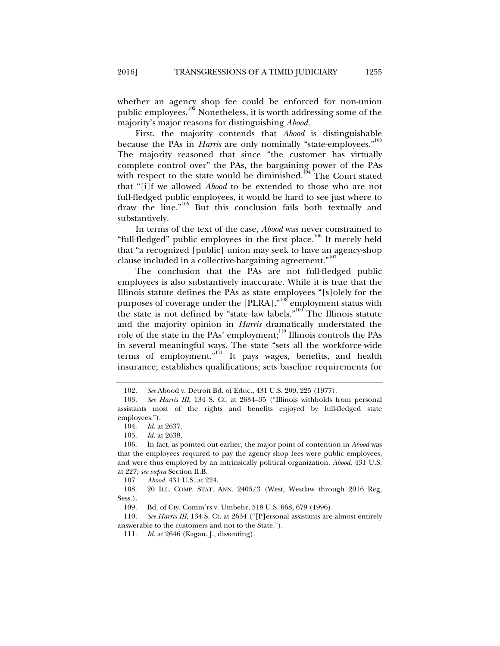whether an agency shop fee could be enforced for non-union public employees.<sup>102</sup> Nonetheless, it is worth addressing some of the majority's major reasons for distinguishing *Abood*.

First, the majority contends that *Abood* is distinguishable because the PAs in *Harris* are only nominally "state-employees."<sup>103</sup> The majority reasoned that since "the customer has virtually complete control over" the PAs, the bargaining power of the PAs with respect to the state would be diminished.<sup>104</sup> The Court stated that "[i]f we allowed *Abood* to be extended to those who are not full-fledged public employees, it would be hard to see just where to draw the line."105 But this conclusion fails both textually and substantively.

In terms of the text of the case, *Abood* was never constrained to "full-fledged" public employees in the first place.<sup>106</sup> It merely held that "a recognized [public] union may seek to have an agency-shop clause included in a collective-bargaining agreement."<sup>107</sup>

The conclusion that the PAs are not full-fledged public employees is also substantively inaccurate. While it is true that the Illinois statute defines the PAs as state employees "[s]olely for the purposes of coverage under the [PLRA],"<sup>108</sup> employment status with the state is not defined by "state law labels."<sup>109</sup> The Illinois statute and the majority opinion in *Harris* dramatically understated the role of the state in the PAs' employment;<sup>110</sup> Illinois controls the PAs in several meaningful ways. The state "sets all the workforce-wide terms of employment."<sup>111</sup> It pays wages, benefits, and health insurance; establishes qualifications; sets baseline requirements for

 110. *See Harris III*, 134 S. Ct. at 2634 ("[P]ersonal assistants are almost entirely answerable to the customers and not to the State.").

 <sup>102.</sup> *See* Abood v. Detroit Bd. of Educ., 431 U.S. 209, 225 (1977).

 <sup>103.</sup> *See Harris III*, 134 S. Ct. at 2634–35 ("Illinois withholds from personal assistants most of the rights and benefits enjoyed by full-fledged state employees.").

 <sup>104.</sup> *Id.* at 2637.

 <sup>105.</sup> *Id.* at 2638.

 <sup>106.</sup> In fact, as pointed out earlier, the major point of contention in *Abood* was that the employees required to pay the agency shop fees were public employees, and were thus employed by an intrinsically political organization. *Abood*, 431 U.S. at 227; *see supra* Section II.B.

 <sup>107.</sup> *Abood*, 431 U.S. at 224.

 <sup>108. 20</sup> ILL. COMP. STAT. ANN. 2405/3 (West, Westlaw through 2016 Reg. Sess.).

<sup>109</sup>*.* Bd. of Cty. Comm'rs v. Umbehr, 518 U.S. 668, 679 (1996).

 <sup>111.</sup> *Id.* at 2646 (Kagan, J., dissenting).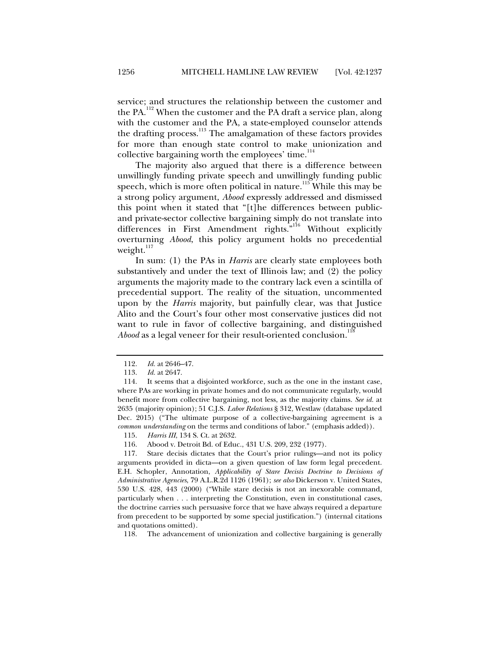service; and structures the relationship between the customer and the PA.<sup>112</sup> When the customer and the PA draft a service plan, along with the customer and the PA, a state-employed counselor attends the drafting process.<sup>113</sup> The amalgamation of these factors provides for more than enough state control to make unionization and collective bargaining worth the employees' time. $114$ 

The majority also argued that there is a difference between unwillingly funding private speech and unwillingly funding public speech, which is more often political in nature.<sup>115</sup> While this may be a strong policy argument, *Abood* expressly addressed and dismissed this point when it stated that "[t]he differences between publicand private-sector collective bargaining simply do not translate into differences in First Amendment rights."<sup>116</sup> Without explicitly overturning *Abood*, this policy argument holds no precedential weight. $117$ 

In sum: (1) the PAs in *Harris* are clearly state employees both substantively and under the text of Illinois law; and (2) the policy arguments the majority made to the contrary lack even a scintilla of precedential support. The reality of the situation, uncommented upon by the *Harris* majority, but painfully clear, was that Justice Alito and the Court's four other most conservative justices did not want to rule in favor of collective bargaining, and distinguished *Abood* as a legal veneer for their result-oriented conclusion.<sup>11</sup>

 <sup>112.</sup> *Id.* at 2646–47.

 <sup>113.</sup> *Id.* at 2647.

 <sup>114.</sup> It seems that a disjointed workforce, such as the one in the instant case, where PAs are working in private homes and do not communicate regularly, would benefit more from collective bargaining, not less, as the majority claims. *See id.* at 2635 (majority opinion); 51 C.J.S. *Labor Relations* § 312, Westlaw (database updated Dec. 2015) ("The ultimate purpose of a collective-bargaining agreement is a *common understanding* on the terms and conditions of labor." (emphasis added)).

 <sup>115.</sup> *Harris III*, 134 S. Ct. at 2632.

 <sup>116.</sup> Abood v. Detroit Bd. of Educ., 431 U.S. 209, 232 (1977).

 <sup>117.</sup> Stare decisis dictates that the Court's prior rulings—and not its policy arguments provided in dicta—on a given question of law form legal precedent. E.H. Schopler, Annotation, *Applicability of Stare Decisis Doctrine to Decisions of Administrative Agencies*, 79 A.L.R.2d 1126 (1961); *see also* Dickerson v. United States, 530 U.S. 428, 443 (2000) ("While stare decisis is not an inexorable command, particularly when . . . interpreting the Constitution, even in constitutional cases, the doctrine carries such persuasive force that we have always required a departure from precedent to be supported by some special justification.") (internal citations and quotations omitted).

 <sup>118.</sup> The advancement of unionization and collective bargaining is generally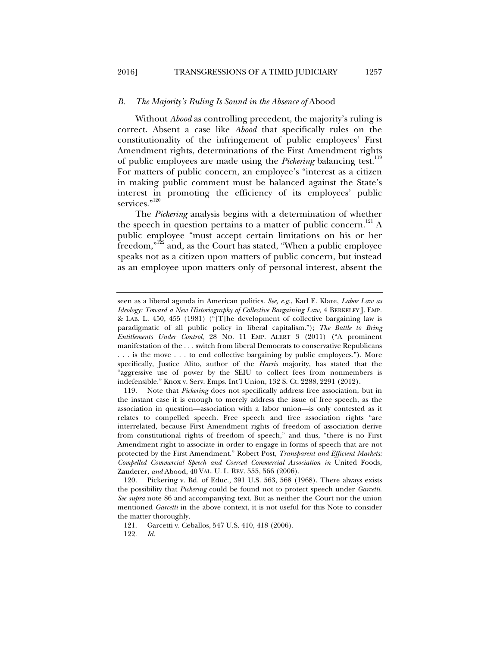#### *B. The Majority's Ruling Is Sound in the Absence of* Abood

Without *Abood* as controlling precedent, the majority's ruling is correct. Absent a case like *Abood* that specifically rules on the constitutionality of the infringement of public employees' First Amendment rights, determinations of the First Amendment rights of public employees are made using the *Pickering* balancing test.<sup>119</sup> For matters of public concern, an employee's "interest as a citizen in making public comment must be balanced against the State's interest in promoting the efficiency of its employees' public services."<sup>120</sup>

The *Pickering* analysis begins with a determination of whether the speech in question pertains to a matter of public concern.<sup>121</sup> A public employee "must accept certain limitations on his or her freedom,"<sup>122</sup> and, as the Court has stated, "When a public employee" speaks not as a citizen upon matters of public concern, but instead as an employee upon matters only of personal interest, absent the

seen as a liberal agenda in American politics. *See, e.g.*, Karl E. Klare, *Labor Law as Ideology: Toward a New Historiography of Collective Bargaining Law*, 4 BERKELEY J. EMP. & LAB. L. 450, 455 (1981) ("[T]he development of collective bargaining law is paradigmatic of all public policy in liberal capitalism."); *The Battle to Bring Entitlements Under Control*, 28 NO. 11 EMP. ALERT 3 (2011) ("A prominent manifestation of the . . . switch from liberal Democrats to conservative Republicans . . . is the move . . . to end collective bargaining by public employees."). More specifically, Justice Alito, author of the *Harris* majority, has stated that the "aggressive use of power by the SEIU to collect fees from nonmembers is indefensible." Knox v. Serv. Emps. Int'l Union, 132 S. Ct. 2288, 2291 (2012).

 <sup>119.</sup> Note that *Pickering* does not specifically address free association, but in the instant case it is enough to merely address the issue of free speech, as the association in question—association with a labor union—is only contested as it relates to compelled speech. Free speech and free association rights "are interrelated, because First Amendment rights of freedom of association derive from constitutional rights of freedom of speech," and thus, "there is no First Amendment right to associate in order to engage in forms of speech that are not protected by the First Amendment." Robert Post, *Transparent and Efficient Markets: Compelled Commercial Speech and Coerced Commercial Association in* United Foods*,*  Zauderer*, and* Abood, 40 VAL. U. L. REV. 555, 566 (2006).

 <sup>120.</sup> Pickering v. Bd. of Educ., 391 U.S. 563, 568 (1968). There always exists the possibility that *Pickering* could be found not to protect speech under *Garcetti*. *See supra* note 86 and accompanying text. But as neither the Court nor the union mentioned *Garcetti* in the above context, it is not useful for this Note to consider the matter thoroughly.

 <sup>121.</sup> Garcetti v. Ceballos, 547 U.S. 410, 418 (2006).

 <sup>122.</sup> *Id.*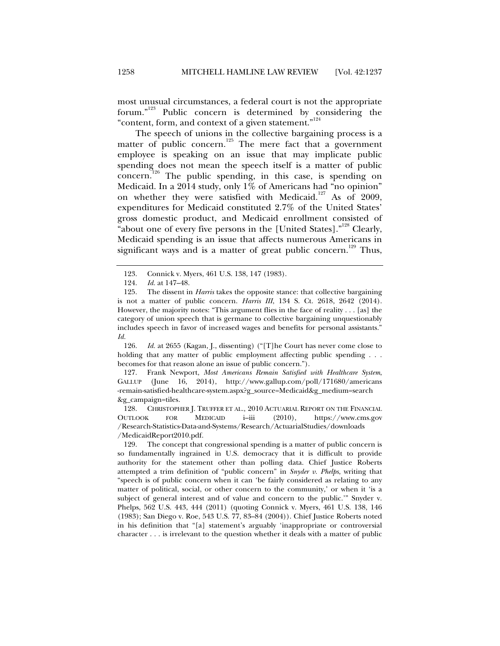most unusual circumstances, a federal court is not the appropriate forum."123 Public concern is determined by considering the "content, form, and context of a given statement."<sup>124</sup>

The speech of unions in the collective bargaining process is a matter of public concern.<sup>125</sup> The mere fact that a government employee is speaking on an issue that may implicate public spending does not mean the speech itself is a matter of public concern.<sup>126</sup> The public spending, in this case, is spending on Medicaid. In a 2014 study, only 1% of Americans had "no opinion" on whether they were satisfied with Medicaid.<sup>127</sup> As of 2009, expenditures for Medicaid constituted 2.7% of the United States' gross domestic product, and Medicaid enrollment consisted of "about one of every five persons in the [United States]."<sup>128</sup> Clearly, Medicaid spending is an issue that affects numerous Americans in significant ways and is a matter of great public concern.<sup>129</sup> Thus,

 126. *Id.* at 2655 (Kagan, J., dissenting) ("[T]he Court has never come close to holding that any matter of public employment affecting public spending . . . becomes for that reason alone an issue of public concern.").

 127. Frank Newport, *Most Americans Remain Satisfied with Healthcare System*, GALLUP (June 16, 2014), http://www.gallup.com/poll/171680/americans -remain-satisfied-healthcare-system.aspx?g\_source=Medicaid&g\_medium=search &g\_campaign=tiles.

 128. CHRISTOPHER J. TRUFFER ET AL., 2010 ACTUARIAL REPORT ON THE FINANCIAL OUTLOOK FOR MEDICAID i–iii (2010), https://www.cms.gov /Research-Statistics-Data-and-Systems/Research/ActuarialStudies/downloads /MedicaidReport2010.pdf.

 129. The concept that congressional spending is a matter of public concern is so fundamentally ingrained in U.S. democracy that it is difficult to provide authority for the statement other than polling data. Chief Justice Roberts attempted a trim definition of "public concern" in *Snyder v. Phelps*, writing that "speech is of public concern when it can 'be fairly considered as relating to any matter of political, social, or other concern to the community,' or when it 'is a subject of general interest and of value and concern to the public.'" Snyder v. Phelps, 562 U.S. 443, 444 (2011) (quoting Connick v. Myers, 461 U.S. 138, 146 (1983); San Diego v. Roe, 543 U.S. 77, 83–84 (2004)). Chief Justice Roberts noted in his definition that "[a] statement's arguably 'inappropriate or controversial character . . . is irrelevant to the question whether it deals with a matter of public

 <sup>123.</sup> Connick v. Myers, 461 U.S. 138, 147 (1983).

 <sup>124.</sup> *Id.* at 147–48.

 <sup>125.</sup> The dissent in *Harris* takes the opposite stance: that collective bargaining is not a matter of public concern. *Harris III*, 134 S. Ct. 2618, 2642 (2014). However, the majority notes: "This argument flies in the face of reality . . . [as] the category of union speech that is germane to collective bargaining unquestionably includes speech in favor of increased wages and benefits for personal assistants." *Id.*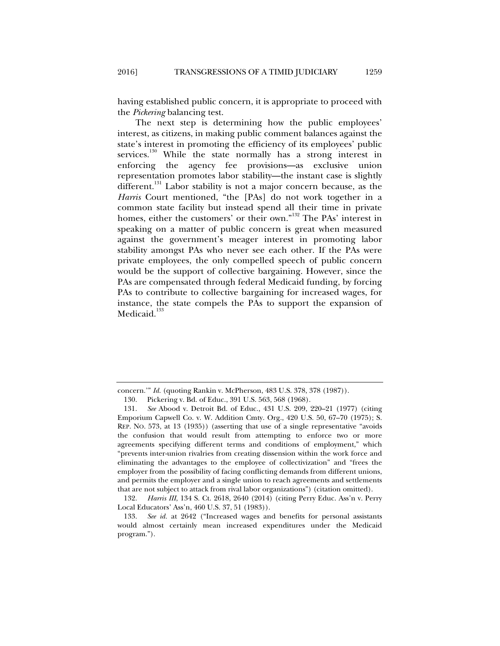having established public concern, it is appropriate to proceed with the *Pickering* balancing test.

The next step is determining how the public employees' interest, as citizens, in making public comment balances against the state's interest in promoting the efficiency of its employees' public services.<sup>130</sup> While the state normally has a strong interest in enforcing the agency fee provisions—as exclusive union representation promotes labor stability—the instant case is slightly different.<sup>131</sup> Labor stability is not a major concern because, as the *Harris* Court mentioned, "the [PAs] do not work together in a common state facility but instead spend all their time in private homes, either the customers' or their own."<sup>132</sup> The PAs' interest in speaking on a matter of public concern is great when measured against the government's meager interest in promoting labor stability amongst PAs who never see each other. If the PAs were private employees, the only compelled speech of public concern would be the support of collective bargaining. However, since the PAs are compensated through federal Medicaid funding, by forcing PAs to contribute to collective bargaining for increased wages, for instance, the state compels the PAs to support the expansion of Medicaid.<sup>133</sup>

concern.'" *Id.* (quoting Rankin v. McPherson, 483 U.S. 378, 378 (1987)).

 <sup>130.</sup> Pickering v. Bd. of Educ., 391 U.S. 563, 568 (1968).

 <sup>131.</sup> *See* Abood v. Detroit Bd. of Educ., 431 U.S. 209, 220–21 (1977) (citing Emporium Capwell Co. v. W. Addition Cmty. Org., 420 U.S. 50, 67–70 (1975); S. REP. NO. 573, at 13 (1935)) (asserting that use of a single representative "avoids the confusion that would result from attempting to enforce two or more agreements specifying different terms and conditions of employment," which "prevents inter-union rivalries from creating dissension within the work force and eliminating the advantages to the employee of collectivization" and "frees the employer from the possibility of facing conflicting demands from different unions, and permits the employer and a single union to reach agreements and settlements that are not subject to attack from rival labor organizations") (citation omitted).

 <sup>132.</sup> *Harris III*, 134 S. Ct. 2618, 2640 (2014) (citing Perry Educ. Ass'n v. Perry Local Educators' Ass'n, 460 U.S. 37, 51 (1983)).

 <sup>133.</sup> *See id.* at 2642 ("Increased wages and benefits for personal assistants would almost certainly mean increased expenditures under the Medicaid program.").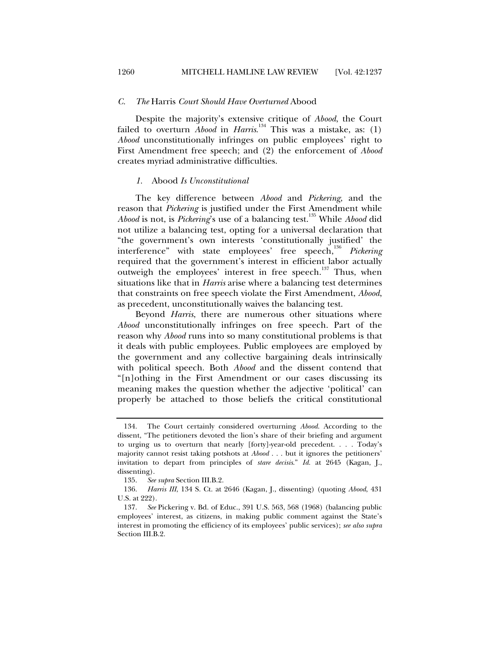#### *C. The* Harris *Court Should Have Overturned* Abood

Despite the majority's extensive critique of *Abood*, the Court failed to overturn *Abood* in *Harris*.<sup>134</sup> This was a mistake, as: (1) *Abood* unconstitutionally infringes on public employees' right to First Amendment free speech; and (2) the enforcement of *Abood* creates myriad administrative difficulties.

#### *1.* Abood *Is Unconstitutional*

The key difference between *Abood* and *Pickering*, and the reason that *Pickering* is justified under the First Amendment while *Abood* is not, is *Pickering*'s use of a balancing test.135 While *Abood* did not utilize a balancing test, opting for a universal declaration that "the government's own interests 'constitutionally justified' the interference" with state employees' free speech,<sup>136</sup> *Pickering* required that the government's interest in efficient labor actually outweigh the employees' interest in free speech. $137$  Thus, when situations like that in *Harris* arise where a balancing test determines that constraints on free speech violate the First Amendment, *Abood*, as precedent, unconstitutionally waives the balancing test.

Beyond *Harris*, there are numerous other situations where *Abood* unconstitutionally infringes on free speech. Part of the reason why *Abood* runs into so many constitutional problems is that it deals with public employees. Public employees are employed by the government and any collective bargaining deals intrinsically with political speech. Both *Abood* and the dissent contend that "[n]othing in the First Amendment or our cases discussing its meaning makes the question whether the adjective 'political' can properly be attached to those beliefs the critical constitutional

 <sup>134.</sup> The Court certainly considered overturning *Abood*. According to the dissent, "The petitioners devoted the lion's share of their briefing and argument to urging us to overturn that nearly [forty]-year-old precedent. . . . Today's majority cannot resist taking potshots at *Abood* . . . but it ignores the petitioners' invitation to depart from principles of *stare decisis*." *Id.* at 2645 (Kagan, J., dissenting).

 <sup>135.</sup> *See supra* Section III.B.2.

 <sup>136.</sup> *Harris III*, 134 S. Ct. at 2646 (Kagan, J., dissenting) (quoting *Abood*, 431 U.S. at 222).

 <sup>137.</sup> *See* Pickering v. Bd. of Educ., 391 U.S. 563, 568 (1968) (balancing public employees' interest, as citizens, in making public comment against the State's interest in promoting the efficiency of its employees' public services); *see also supra* Section III.B.2.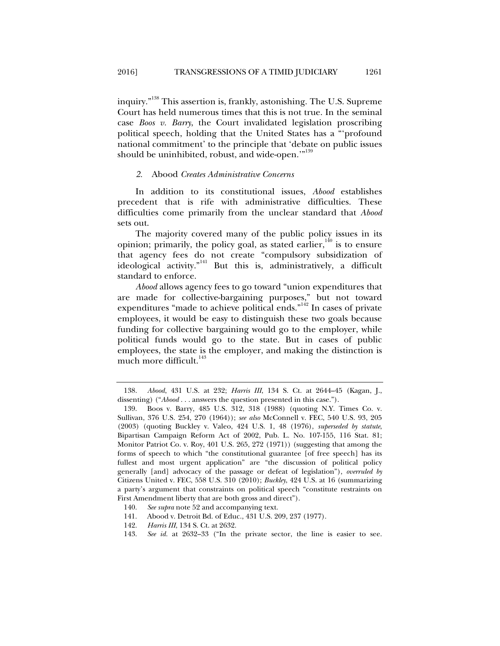inquiry."138 This assertion is, frankly, astonishing. The U.S. Supreme Court has held numerous times that this is not true. In the seminal case *Boos v. Barry*, the Court invalidated legislation proscribing political speech, holding that the United States has a "'profound national commitment' to the principle that 'debate on public issues should be uninhibited, robust, and wide-open."<sup>139</sup>

#### *2.* Abood *Creates Administrative Concerns*

In addition to its constitutional issues, *Abood* establishes precedent that is rife with administrative difficulties. These difficulties come primarily from the unclear standard that *Abood*  sets out.

The majority covered many of the public policy issues in its opinion; primarily, the policy goal, as stated earlier,  $140$  is to ensure that agency fees do not create "compulsory subsidization of ideological activity."<sup>141</sup> But this is, administratively, a difficult standard to enforce.

*Abood* allows agency fees to go toward "union expenditures that are made for collective-bargaining purposes," but not toward expenditures "made to achieve political ends."<sup>142</sup> In cases of private employees, it would be easy to distinguish these two goals because funding for collective bargaining would go to the employer, while political funds would go to the state. But in cases of public employees, the state is the employer, and making the distinction is much more difficult.<sup>143</sup>

 <sup>138.</sup> *Abood*, 431 U.S. at 232; *Harris III*, 134 S. Ct. at 2644–45 (Kagan, J., dissenting) ("*Abood* . . . answers the question presented in this case.").

 <sup>139.</sup> Boos v. Barry, 485 U.S. 312, 318 (1988) (quoting N.Y. Times Co. v. Sullivan, 376 U.S. 254, 270 (1964)); *see also* McConnell v. FEC, 540 U.S. 93, 205 (2003) (quoting Buckley v. Valeo, 424 U.S. 1, 48 (1976), *superseded by statute*, Bipartisan Campaign Reform Act of 2002, Pub. L. No. 107-155, 116 Stat. 81; Monitor Patriot Co. v. Roy, 401 U.S. 265, 272 (1971)) (suggesting that among the forms of speech to which "the constitutional guarantee [of free speech] has its fullest and most urgent application" are "the discussion of political policy generally [and] advocacy of the passage or defeat of legislation"), *overruled by*  Citizens United v. FEC, 558 U.S. 310 (2010); *Buckley*, 424 U.S. at 16 (summarizing a party's argument that constraints on political speech "constitute restraints on First Amendment liberty that are both gross and direct").

 <sup>140.</sup> *See supra* note 52 and accompanying text.

 <sup>141.</sup> Abood v. Detroit Bd. of Educ., 431 U.S. 209, 237 (1977).

 <sup>142.</sup> *Harris III*, 134 S. Ct. at 2632.

 <sup>143.</sup> *See id.* at 2632–33 ("In the private sector, the line is easier to see.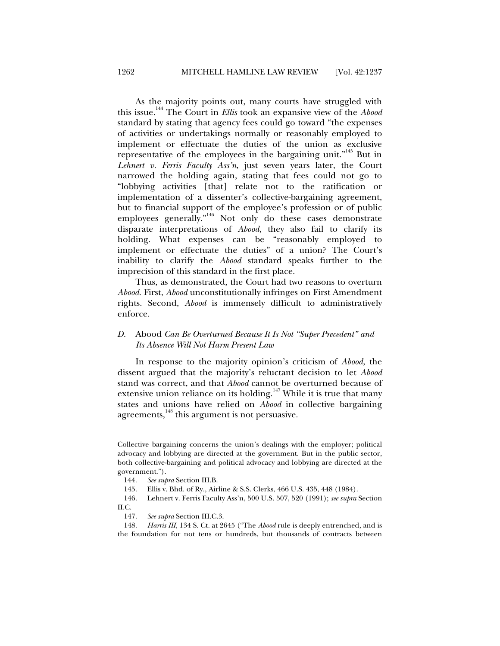As the majority points out, many courts have struggled with this issue.144 The Court in *Ellis* took an expansive view of the *Abood* standard by stating that agency fees could go toward "the expenses of activities or undertakings normally or reasonably employed to implement or effectuate the duties of the union as exclusive representative of the employees in the bargaining unit."<sup>145</sup> But in *Lehnert v. Ferris Faculty Ass'n*, just seven years later, the Court narrowed the holding again, stating that fees could not go to "lobbying activities [that] relate not to the ratification or implementation of a dissenter's collective-bargaining agreement, but to financial support of the employee's profession or of public employees generally."<sup>146</sup> Not only do these cases demonstrate disparate interpretations of *Abood*, they also fail to clarify its holding. What expenses can be "reasonably employed to implement or effectuate the duties" of a union? The Court's inability to clarify the *Abood* standard speaks further to the imprecision of this standard in the first place.

Thus, as demonstrated, the Court had two reasons to overturn *Abood*. First, *Abood* unconstitutionally infringes on First Amendment rights. Second, *Abood* is immensely difficult to administratively enforce.

## *D.* Abood *Can Be Overturned Because It Is Not "Super Precedent" and Its Absence Will Not Harm Present Law*

In response to the majority opinion's criticism of *Abood*, the dissent argued that the majority's reluctant decision to let *Abood* stand was correct, and that *Abood* cannot be overturned because of extensive union reliance on its holding.<sup>147</sup> While it is true that many states and unions have relied on *Abood* in collective bargaining agreements,<sup>148</sup> this argument is not persuasive.

Collective bargaining concerns the union's dealings with the employer; political advocacy and lobbying are directed at the government. But in the public sector, both collective-bargaining and political advocacy and lobbying are directed at the government.").

<sup>144</sup>*. See supra* Section III.B.

 <sup>145.</sup> Ellis v. Bhd. of Ry., Airline & S.S. Clerks, 466 U.S. 435, 448 (1984).

 <sup>146.</sup> Lehnert v. Ferris Faculty Ass'n, 500 U.S. 507, 520 (1991); *see supra* Section II.C.

 <sup>147.</sup> *See supra* Section III.C.3.

 <sup>148.</sup> *Harris III*, 134 S. Ct. at 2645 ("The *Abood* rule is deeply entrenched, and is the foundation for not tens or hundreds, but thousands of contracts between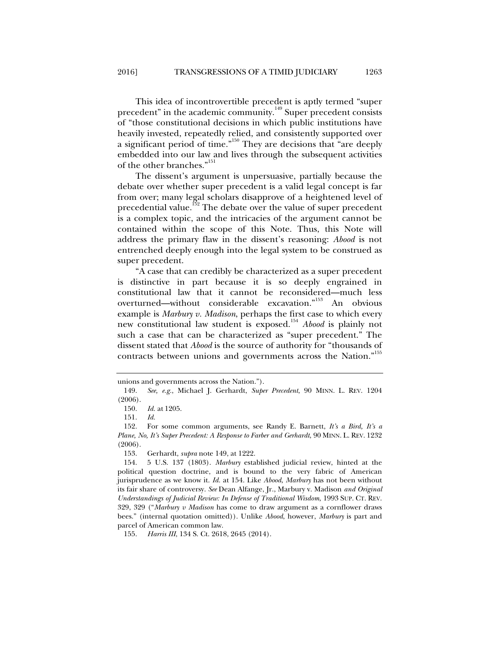This idea of incontrovertible precedent is aptly termed "super precedent" in the academic community.<sup>149</sup> Super precedent consists of "those constitutional decisions in which public institutions have heavily invested, repeatedly relied, and consistently supported over a significant period of time."150 They are decisions that "are deeply embedded into our law and lives through the subsequent activities of the other branches."<sup>151</sup>

The dissent's argument is unpersuasive, partially because the debate over whether super precedent is a valid legal concept is far from over; many legal scholars disapprove of a heightened level of precedential value.<sup>152</sup> The debate over the value of super precedent is a complex topic, and the intricacies of the argument cannot be contained within the scope of this Note. Thus, this Note will address the primary flaw in the dissent's reasoning: *Abood* is not entrenched deeply enough into the legal system to be construed as super precedent.

"A case that can credibly be characterized as a super precedent is distinctive in part because it is so deeply engrained in constitutional law that it cannot be reconsidered—much less overturned—without considerable excavation."<sup>153</sup> An obvious example is *Marbury v. Madison*, perhaps the first case to which every new constitutional law student is exposed.<sup>154</sup> *Abood* is plainly not such a case that can be characterized as "super precedent." The dissent stated that *Abood* is the source of authority for "thousands of contracts between unions and governments across the Nation."<sup>155</sup>

unions and governments across the Nation.").

 <sup>149.</sup> *See, e.g.*, Michael J. Gerhardt, *Super Precedent*, 90 MINN. L. REV. 1204 (2006).

 <sup>150.</sup> *Id.* at 1205.

 <sup>151.</sup> *Id.*

 <sup>152.</sup> For some common arguments, see Randy E. Barnett, *It's a Bird, It's a Plane, No, It's Super Precedent: A Response to Farber and Gerhardt*, 90 MINN. L. REV. 1232 (2006).

 <sup>153.</sup> Gerhardt, *supra* note 149, at 1222.

 <sup>154. 5</sup> U.S. 137 (1803). *Marbury* established judicial review, hinted at the political question doctrine, and is bound to the very fabric of American jurisprudence as we know it. *Id.* at 154. Like *Abood*, *Marbury* has not been without its fair share of controversy. *See* Dean Alfange, Jr., Marbury v. Madison *and Original Understandings of Judicial Review: In Defense of Traditional Wisdom*, 1993 SUP. CT. REV. 329, 329 ("*Marbury v Madison* has come to draw argument as a cornflower draws bees." (internal quotation omitted)). Unlike *Abood*, however, *Marbury* is part and parcel of American common law.

 <sup>155.</sup> *Harris III*, 134 S. Ct. 2618, 2645 (2014).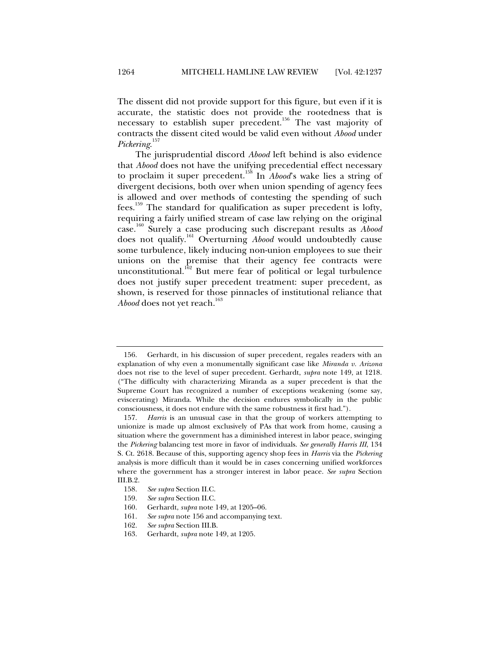The dissent did not provide support for this figure, but even if it is accurate, the statistic does not provide the rootedness that is necessary to establish super precedent.<sup>156</sup> The vast majority of contracts the dissent cited would be valid even without *Abood* under *Pickering*. 157

The jurisprudential discord *Abood* left behind is also evidence that *Abood* does not have the unifying precedential effect necessary to proclaim it super precedent.158 In *Abood*'s wake lies a string of divergent decisions, both over when union spending of agency fees is allowed and over methods of contesting the spending of such fees.<sup>159</sup> The standard for qualification as super precedent is lofty, requiring a fairly unified stream of case law relying on the original case.160 Surely a case producing such discrepant results as *Abood* does not qualify.161 Overturning *Abood* would undoubtedly cause some turbulence, likely inducing non-union employees to sue their unions on the premise that their agency fee contracts were unconstitutional.<sup>162</sup> But mere fear of political or legal turbulence does not justify super precedent treatment: super precedent, as shown, is reserved for those pinnacles of institutional reliance that *Abood* does not yet reach.<sup>163</sup>

 <sup>156.</sup> Gerhardt, in his discussion of super precedent, regales readers with an explanation of why even a monumentally significant case like *Miranda v. Arizona*  does not rise to the level of super precedent. Gerhardt, *supra* note 149, at 1218. ("The difficulty with characterizing Miranda as a super precedent is that the Supreme Court has recognized a number of exceptions weakening (some say, eviscerating) Miranda. While the decision endures symbolically in the public consciousness, it does not endure with the same robustness it first had.").

 <sup>157.</sup> *Harris* is an unusual case in that the group of workers attempting to unionize is made up almost exclusively of PAs that work from home, causing a situation where the government has a diminished interest in labor peace, swinging the *Pickering* balancing test more in favor of individuals. *See generally Harris III*, 134 S. Ct. 2618. Because of this, supporting agency shop fees in *Harris* via the *Pickering* analysis is more difficult than it would be in cases concerning unified workforces where the government has a stronger interest in labor peace. *See supra* Section III.B.2.

 <sup>158.</sup> *See supra* Section II.C.

 <sup>159.</sup> *See supra* Section II.C.

 <sup>160.</sup> Gerhardt, *supra* note 149, at 1205–06.

 <sup>161.</sup> *See supra* note 156 and accompanying text.

 <sup>162.</sup> *See supra* Section III.B.

 <sup>163.</sup> Gerhardt, *supra* note 149, at 1205.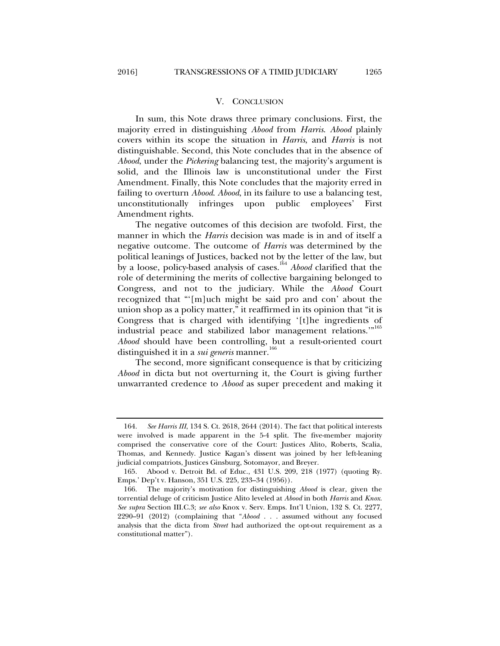#### V. CONCLUSION

In sum, this Note draws three primary conclusions. First, the majority erred in distinguishing *Abood* from *Harris*. *Abood* plainly covers within its scope the situation in *Harris*, and *Harris* is not distinguishable. Second, this Note concludes that in the absence of *Abood*, under the *Pickering* balancing test, the majority's argument is solid, and the Illinois law is unconstitutional under the First Amendment. Finally, this Note concludes that the majority erred in failing to overturn *Abood*. *Abood*, in its failure to use a balancing test, unconstitutionally infringes upon public employees' First Amendment rights.

The negative outcomes of this decision are twofold. First, the manner in which the *Harris* decision was made is in and of itself a negative outcome. The outcome of *Harris* was determined by the political leanings of Justices, backed not by the letter of the law, but by a loose, policy-based analysis of cases.<sup>164</sup> *Abood* clarified that the role of determining the merits of collective bargaining belonged to Congress, and not to the judiciary. While the *Abood* Court recognized that "'[m]uch might be said pro and con' about the union shop as a policy matter," it reaffirmed in its opinion that "it is Congress that is charged with identifying '[t]he ingredients of industrial peace and stabilized labor management relations."<sup>165</sup> *Abood* should have been controlling, but a result-oriented court distinguished it in a *sui generis* manner.<sup>166</sup>

The second, more significant consequence is that by criticizing *Abood* in dicta but not overturning it, the Court is giving further unwarranted credence to *Abood* as super precedent and making it

 <sup>164.</sup> *See Harris III*, 134 S. Ct. 2618, 2644 (2014). The fact that political interests were involved is made apparent in the 5-4 split. The five-member majority comprised the conservative core of the Court: Justices Alito, Roberts, Scalia, Thomas, and Kennedy. Justice Kagan's dissent was joined by her left-leaning judicial compatriots, Justices Ginsburg, Sotomayor, and Breyer.

 <sup>165.</sup> Abood v. Detroit Bd. of Educ., 431 U.S. 209, 218 (1977) (quoting Ry. Emps.' Dep't v. Hanson, 351 U.S. 225, 233–34 (1956)).

 <sup>166.</sup> The majority's motivation for distinguishing *Abood* is clear, given the torrential deluge of criticism Justice Alito leveled at *Abood* in both *Harris* and *Knox*. *See supra* Section III.C.3; *see also* Knox v. Serv. Emps. Int'l Union, 132 S. Ct. 2277, 2290–91 (2012) (complaining that "*Abood* . . . assumed without any focused analysis that the dicta from *Street* had authorized the opt-out requirement as a constitutional matter").